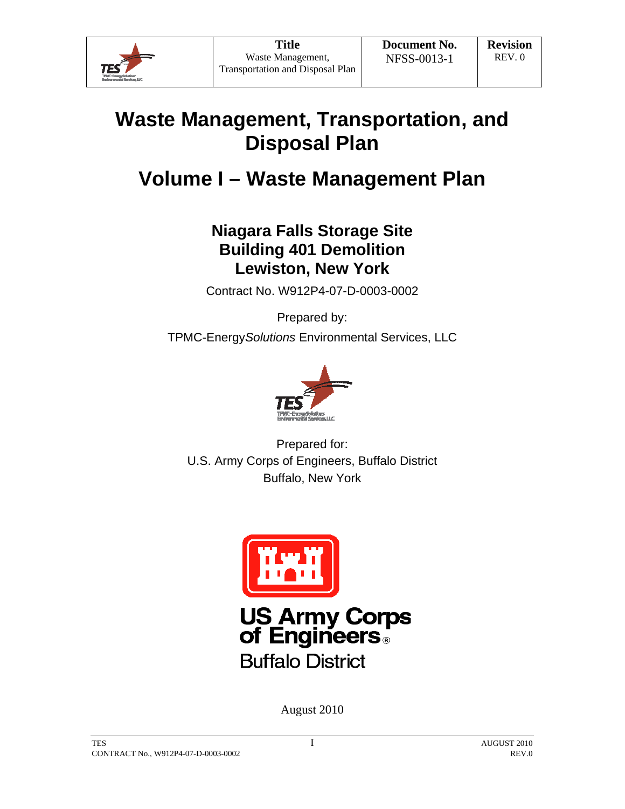

# **Waste Management, Transportation, and Disposal Plan**

# **Volume I – Waste Management Plan**

# **Niagara Falls Storage Site Building 401 Demolition Lewiston, New York**

Contract No. W912P4-07-D-0003-0002

Prepared by:

TPMC-Energy*Solutions* Environmental Services, LLC



Prepared for: U.S. Army Corps of Engineers, Buffalo District Buffalo, New York



August 2010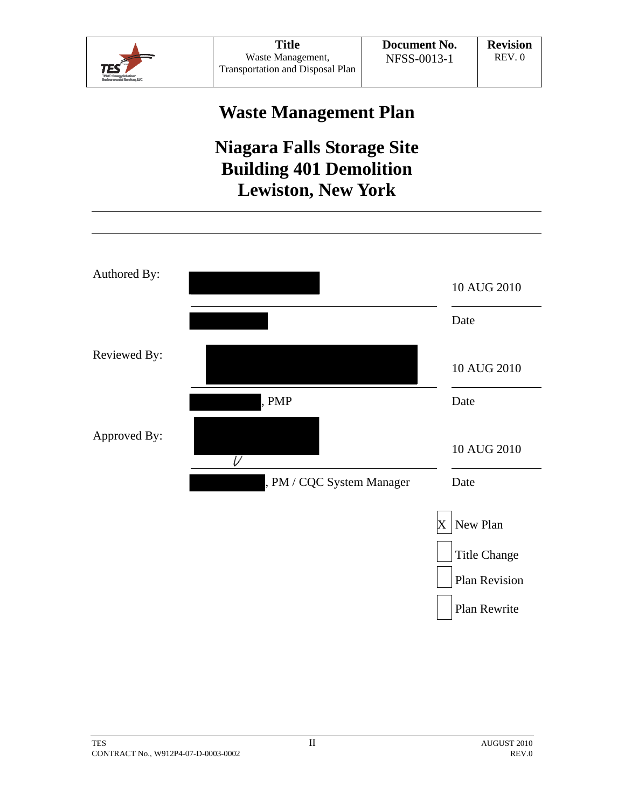

# **Waste Management Plan**

# **Niagara Falls Storage Site Building 401 Demolition Lewiston, New York**

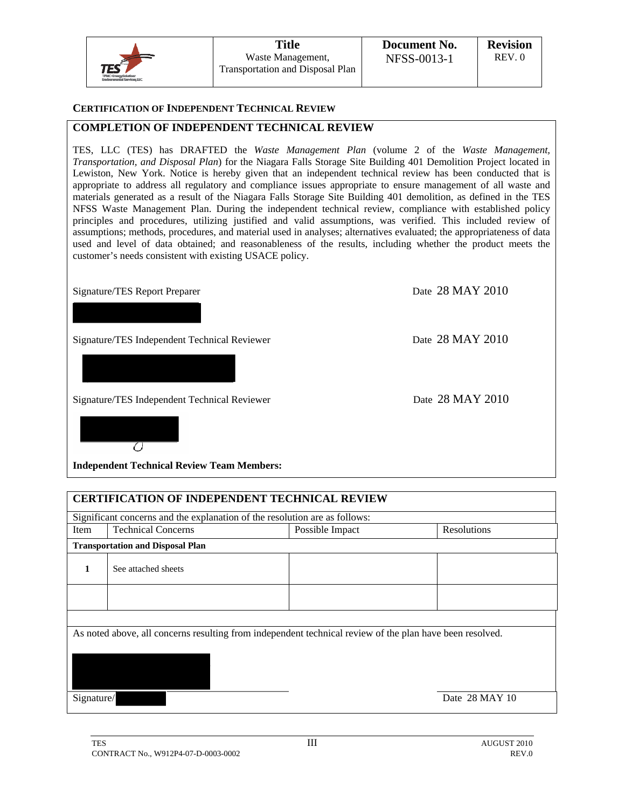|                                                      | <b>Title</b>                                          | Document No. | <b>Revision</b> |
|------------------------------------------------------|-------------------------------------------------------|--------------|-----------------|
| TES                                                  | Waste Management,<br>Transportation and Disposal Plan | NFSS-0013-1  | REV.0           |
| TPMC-Engravaminations<br>Environmental Sanvices, LLC |                                                       |              |                 |

#### **CERTIFICATION OF INDEPENDENT TECHNICAL REVIEW**

#### **COMPLETION OF INDEPENDENT TECHNICAL REVIEW**

TES, LLC (TES) has DRAFTED the *Waste Management Plan* (volume 2 of the *Waste Management, Transportation, and Disposal Plan*) for the Niagara Falls Storage Site Building 401 Demolition Project located in Lewiston, New York. Notice is hereby given that an independent technical review has been conducted that is appropriate to address all regulatory and compliance issues appropriate to ensure management of all waste and materials generated as a result of the Niagara Falls Storage Site Building 401 demolition, as defined in the TES NFSS Waste Management Plan. During the independent technical review, compliance with established policy principles and procedures, utilizing justified and valid assumptions, was verified. This included review of assumptions; methods, procedures, and material used in analyses; alternatives evaluated; the appropriateness of data used and level of data obtained; and reasonableness of the results, including whether the product meets the customer's needs consistent with existing USACE policy.

Signature/TES Report Preparer Date 28 MAY 2010

Signature/TES Independent Technical Reviewer Date 28 MAY 2010

Signature/TES Independent Technical Reviewer Date 28 MAY 2010

 $\sigma$ 

**Independent Technical Review Team Members:** 

| <b>CERTIFICATION OF INDEPENDENT TECHNICAL REVIEW</b> |                                                                                                          |                 |                |  |  |
|------------------------------------------------------|----------------------------------------------------------------------------------------------------------|-----------------|----------------|--|--|
|                                                      | Significant concerns and the explanation of the resolution are as follows:                               |                 |                |  |  |
| Item                                                 | <b>Technical Concerns</b>                                                                                | Possible Impact | Resolutions    |  |  |
|                                                      | <b>Transportation and Disposal Plan</b>                                                                  |                 |                |  |  |
| 1                                                    | See attached sheets                                                                                      |                 |                |  |  |
|                                                      |                                                                                                          |                 |                |  |  |
|                                                      |                                                                                                          |                 |                |  |  |
|                                                      | As noted above, all concerns resulting from independent technical review of the plan have been resolved. |                 |                |  |  |
|                                                      |                                                                                                          |                 |                |  |  |
| Signature/                                           |                                                                                                          |                 | Date 28 MAY 10 |  |  |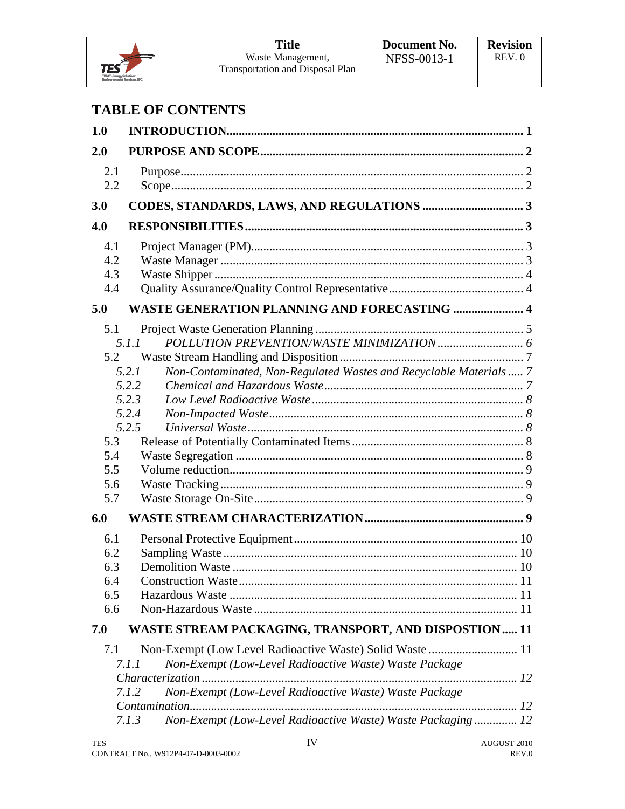

# **TABLE OF CONTENTS**

| 1.0                                           |                                                                                                                                                                                                                                                                           |  |
|-----------------------------------------------|---------------------------------------------------------------------------------------------------------------------------------------------------------------------------------------------------------------------------------------------------------------------------|--|
| 2.0                                           |                                                                                                                                                                                                                                                                           |  |
| 2.1<br>2.2                                    |                                                                                                                                                                                                                                                                           |  |
| 3.0                                           |                                                                                                                                                                                                                                                                           |  |
| 4.0                                           |                                                                                                                                                                                                                                                                           |  |
| 4.1<br>4.2<br>4.3<br>4.4                      |                                                                                                                                                                                                                                                                           |  |
| 5.0                                           | <b>WASTE GENERATION PLANNING AND FORECASTING  4</b>                                                                                                                                                                                                                       |  |
| 5.1<br>5.2<br>5.3<br>5.4<br>5.5<br>5.6<br>5.7 | 5.1.1<br>5.2.1<br>Non-Contaminated, Non-Regulated Wastes and Recyclable Materials 7<br>5.2.2<br>5.2.3<br>5.2.4<br>5.2.5                                                                                                                                                   |  |
| 6.0                                           |                                                                                                                                                                                                                                                                           |  |
| 6.1<br>6.2<br>6.3<br>6.4<br>6.5<br>6.6        |                                                                                                                                                                                                                                                                           |  |
| 7.0                                           | <b>WASTE STREAM PACKAGING, TRANSPORT, AND DISPOSTION 11</b>                                                                                                                                                                                                               |  |
| 7.1                                           | Non-Exempt (Low Level Radioactive Waste) Solid Waste  11<br>Non-Exempt (Low-Level Radioactive Waste) Waste Package<br>7. I . I<br>Non-Exempt (Low-Level Radioactive Waste) Waste Package<br>7.1.2<br>Non-Exempt (Low-Level Radioactive Waste) Waste Packaging 12<br>7.1.3 |  |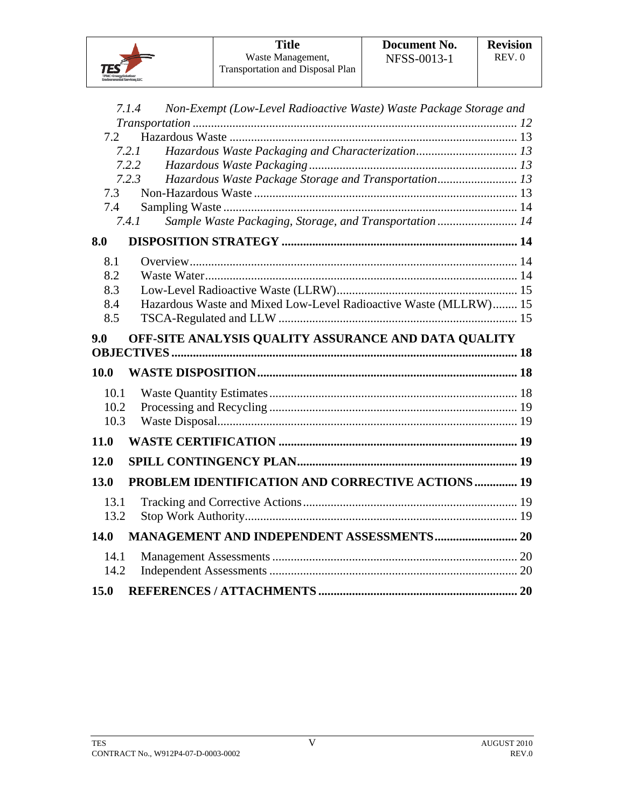**TES** 

|      | 7.1.4<br>Non-Exempt (Low-Level Radioactive Waste) Waste Package Storage and |  |
|------|-----------------------------------------------------------------------------|--|
|      |                                                                             |  |
| 7.2  |                                                                             |  |
|      | 7.2.1                                                                       |  |
|      | 7.2.2                                                                       |  |
|      | Hazardous Waste Package Storage and Transportation 13<br>7.2.3              |  |
| 7.3  |                                                                             |  |
| 7.4  |                                                                             |  |
|      | Sample Waste Packaging, Storage, and Transportation 14<br>7.4.1             |  |
| 8.0  |                                                                             |  |
| 8.1  |                                                                             |  |
| 8.2  |                                                                             |  |
| 8.3  |                                                                             |  |
| 8.4  | Hazardous Waste and Mixed Low-Level Radioactive Waste (MLLRW) 15            |  |
| 8.5  |                                                                             |  |
| 9.0  | OFF-SITE ANALYSIS QUALITY ASSURANCE AND DATA QUALITY                        |  |
|      |                                                                             |  |
| 10.0 |                                                                             |  |
| 10.1 |                                                                             |  |
| 10.2 |                                                                             |  |
| 10.3 |                                                                             |  |
| 11.0 |                                                                             |  |
| 12.0 |                                                                             |  |
| 13.0 | PROBLEM IDENTIFICATION AND CORRECTIVE ACTIONS  19                           |  |
| 13.1 |                                                                             |  |
| 13.2 |                                                                             |  |
| 14.0 | <b>MANAGEMENT AND INDEPENDENT ASSESSMENTS 20</b>                            |  |
| 14.1 |                                                                             |  |
|      |                                                                             |  |
| 14.2 |                                                                             |  |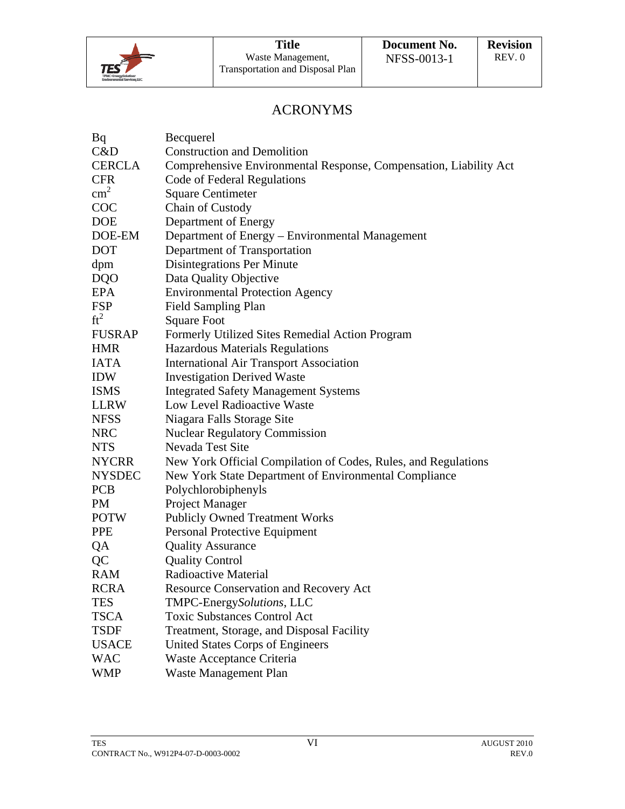

# ACRONYMS

| Bq            | Becquerel                                                         |
|---------------|-------------------------------------------------------------------|
| C&D           | <b>Construction and Demolition</b>                                |
| <b>CERCLA</b> | Comprehensive Environmental Response, Compensation, Liability Act |
| <b>CFR</b>    | Code of Federal Regulations                                       |
| $\text{cm}^2$ | <b>Square Centimeter</b>                                          |
| COC           | Chain of Custody                                                  |
| <b>DOE</b>    | Department of Energy                                              |
| DOE-EM        | Department of Energy - Environmental Management                   |
| <b>DOT</b>    | Department of Transportation                                      |
| dpm           | Disintegrations Per Minute                                        |
| DQO           | Data Quality Objective                                            |
| EPA           | <b>Environmental Protection Agency</b>                            |
| <b>FSP</b>    | <b>Field Sampling Plan</b>                                        |
| $ft^2$        | <b>Square Foot</b>                                                |
| <b>FUSRAP</b> | Formerly Utilized Sites Remedial Action Program                   |
| <b>HMR</b>    | Hazardous Materials Regulations                                   |
| <b>IATA</b>   | <b>International Air Transport Association</b>                    |
| <b>IDW</b>    | <b>Investigation Derived Waste</b>                                |
| <b>ISMS</b>   | <b>Integrated Safety Management Systems</b>                       |
| <b>LLRW</b>   | Low Level Radioactive Waste                                       |
| <b>NFSS</b>   | Niagara Falls Storage Site                                        |
| <b>NRC</b>    | <b>Nuclear Regulatory Commission</b>                              |
| <b>NTS</b>    | Nevada Test Site                                                  |
| <b>NYCRR</b>  | New York Official Compilation of Codes, Rules, and Regulations    |
| <b>NYSDEC</b> | New York State Department of Environmental Compliance             |
| <b>PCB</b>    | Polychlorobiphenyls                                               |
| PM            | Project Manager                                                   |
| <b>POTW</b>   | <b>Publicly Owned Treatment Works</b>                             |
| <b>PPE</b>    | Personal Protective Equipment                                     |
| QA            | <b>Quality Assurance</b>                                          |
| QC            | <b>Quality Control</b>                                            |
| <b>RAM</b>    | Radioactive Material                                              |
| <b>RCRA</b>   | <b>Resource Conservation and Recovery Act</b>                     |
| <b>TES</b>    | TMPC-EnergySolutions, LLC                                         |
| <b>TSCA</b>   | <b>Toxic Substances Control Act</b>                               |
| <b>TSDF</b>   | Treatment, Storage, and Disposal Facility                         |
| <b>USACE</b>  | <b>United States Corps of Engineers</b>                           |
| <b>WAC</b>    | Waste Acceptance Criteria                                         |
| WMP           | <b>Waste Management Plan</b>                                      |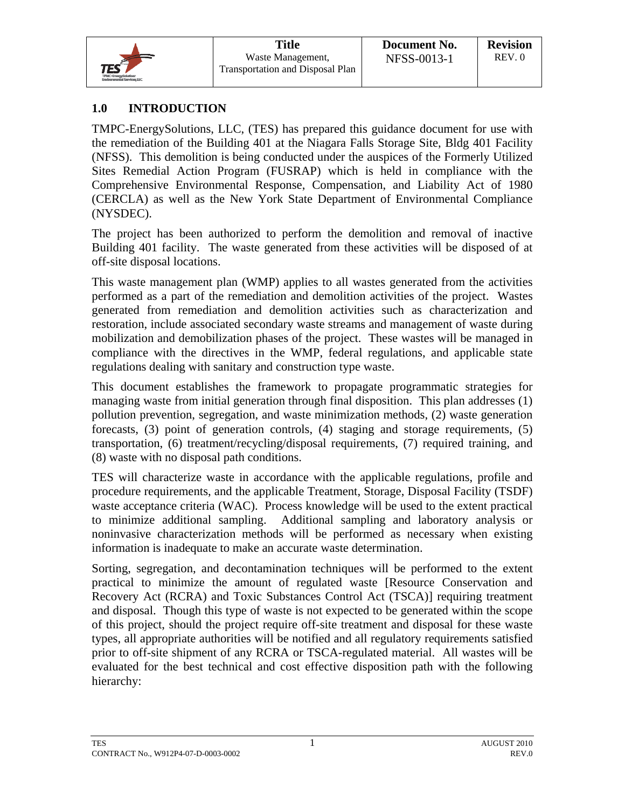

## **1.0 INTRODUCTION**

TMPC-EnergySolutions, LLC, (TES) has prepared this guidance document for use with the remediation of the Building 401 at the Niagara Falls Storage Site, Bldg 401 Facility (NFSS). This demolition is being conducted under the auspices of the Formerly Utilized Sites Remedial Action Program (FUSRAP) which is held in compliance with the Comprehensive Environmental Response, Compensation, and Liability Act of 1980 (CERCLA) as well as the New York State Department of Environmental Compliance (NYSDEC).

The project has been authorized to perform the demolition and removal of inactive Building 401 facility. The waste generated from these activities will be disposed of at off-site disposal locations.

This waste management plan (WMP) applies to all wastes generated from the activities performed as a part of the remediation and demolition activities of the project. Wastes generated from remediation and demolition activities such as characterization and restoration, include associated secondary waste streams and management of waste during mobilization and demobilization phases of the project. These wastes will be managed in compliance with the directives in the WMP, federal regulations, and applicable state regulations dealing with sanitary and construction type waste.

This document establishes the framework to propagate programmatic strategies for managing waste from initial generation through final disposition. This plan addresses (1) pollution prevention, segregation, and waste minimization methods, (2) waste generation forecasts, (3) point of generation controls, (4) staging and storage requirements, (5) transportation, (6) treatment/recycling/disposal requirements, (7) required training, and (8) waste with no disposal path conditions.

TES will characterize waste in accordance with the applicable regulations, profile and procedure requirements, and the applicable Treatment, Storage, Disposal Facility (TSDF) waste acceptance criteria (WAC). Process knowledge will be used to the extent practical to minimize additional sampling. Additional sampling and laboratory analysis or noninvasive characterization methods will be performed as necessary when existing information is inadequate to make an accurate waste determination.

Sorting, segregation, and decontamination techniques will be performed to the extent practical to minimize the amount of regulated waste [Resource Conservation and Recovery Act (RCRA) and Toxic Substances Control Act (TSCA)] requiring treatment and disposal. Though this type of waste is not expected to be generated within the scope of this project, should the project require off-site treatment and disposal for these waste types, all appropriate authorities will be notified and all regulatory requirements satisfied prior to off-site shipment of any RCRA or TSCA-regulated material. All wastes will be evaluated for the best technical and cost effective disposition path with the following hierarchy: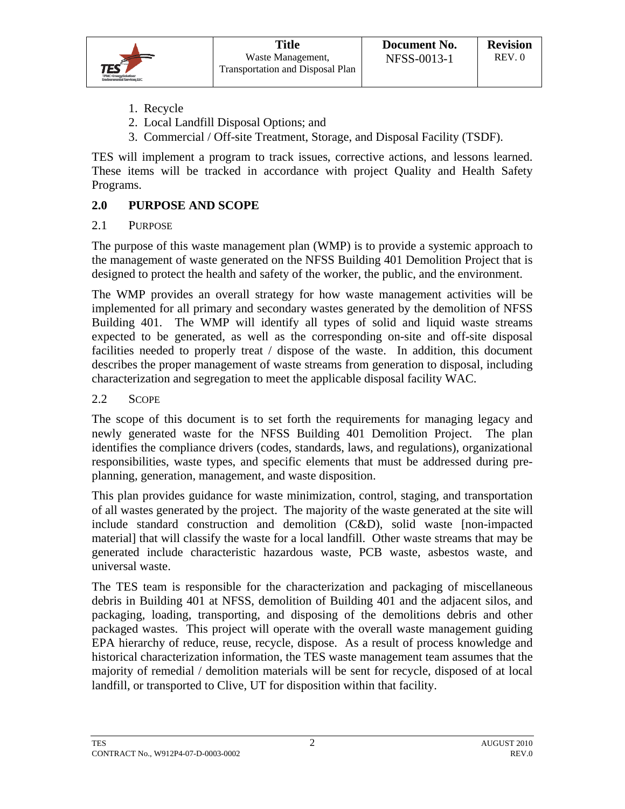- 1. Recycle
- 2. Local Landfill Disposal Options; and
- 3. Commercial / Off-site Treatment, Storage, and Disposal Facility (TSDF).

TES will implement a program to track issues, corrective actions, and lessons learned. These items will be tracked in accordance with project Quality and Health Safety Programs.

## **2.0 PURPOSE AND SCOPE**

#### 2.1 PURPOSE

The purpose of this waste management plan (WMP) is to provide a systemic approach to the management of waste generated on the NFSS Building 401 Demolition Project that is designed to protect the health and safety of the worker, the public, and the environment.

The WMP provides an overall strategy for how waste management activities will be implemented for all primary and secondary wastes generated by the demolition of NFSS Building 401. The WMP will identify all types of solid and liquid waste streams expected to be generated, as well as the corresponding on-site and off-site disposal facilities needed to properly treat / dispose of the waste. In addition, this document describes the proper management of waste streams from generation to disposal, including characterization and segregation to meet the applicable disposal facility WAC.

#### 2.2 SCOPE

The scope of this document is to set forth the requirements for managing legacy and newly generated waste for the NFSS Building 401 Demolition Project. The plan identifies the compliance drivers (codes, standards, laws, and regulations), organizational responsibilities, waste types, and specific elements that must be addressed during preplanning, generation, management, and waste disposition.

This plan provides guidance for waste minimization, control, staging, and transportation of all wastes generated by the project. The majority of the waste generated at the site will include standard construction and demolition (C&D), solid waste [non-impacted material] that will classify the waste for a local landfill. Other waste streams that may be generated include characteristic hazardous waste, PCB waste, asbestos waste, and universal waste.

The TES team is responsible for the characterization and packaging of miscellaneous debris in Building 401 at NFSS, demolition of Building 401 and the adjacent silos, and packaging, loading, transporting, and disposing of the demolitions debris and other packaged wastes. This project will operate with the overall waste management guiding EPA hierarchy of reduce, reuse, recycle, dispose. As a result of process knowledge and historical characterization information, the TES waste management team assumes that the majority of remedial / demolition materials will be sent for recycle, disposed of at local landfill, or transported to Clive, UT for disposition within that facility.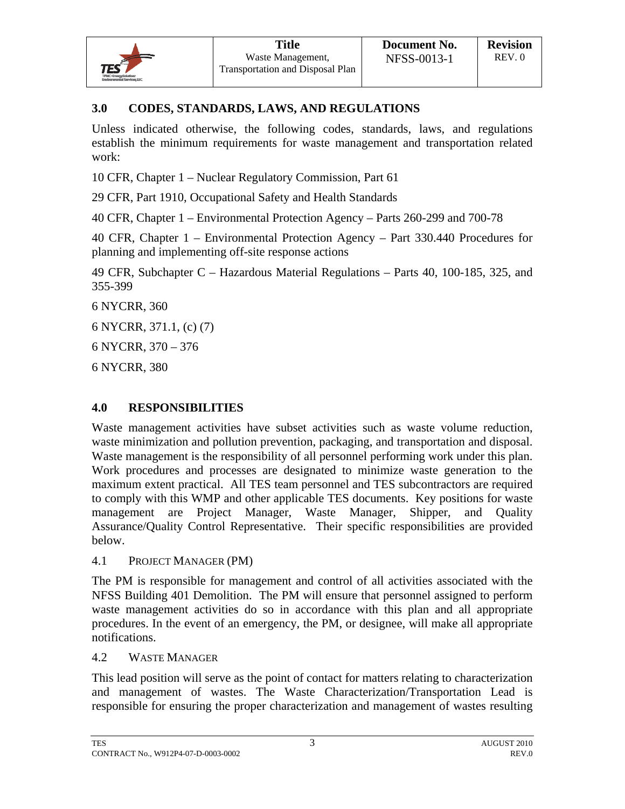## **3.0 CODES, STANDARDS, LAWS, AND REGULATIONS**

Unless indicated otherwise, the following codes, standards, laws, and regulations establish the minimum requirements for waste management and transportation related work:

10 CFR, Chapter 1 – Nuclear Regulatory Commission, Part 61

29 CFR, Part 1910, Occupational Safety and Health Standards

40 CFR, Chapter 1 – Environmental Protection Agency – Parts 260-299 and 700-78

40 CFR, Chapter 1 – Environmental Protection Agency – Part 330.440 Procedures for planning and implementing off-site response actions

49 CFR, Subchapter C – Hazardous Material Regulations – Parts 40, 100-185, 325, and 355-399

6 NYCRR, 360

6 NYCRR, 371.1, (c) (7)

6 NYCRR, 370 – 376

6 NYCRR, 380

## **4.0 RESPONSIBILITIES**

Waste management activities have subset activities such as waste volume reduction, waste minimization and pollution prevention, packaging, and transportation and disposal. Waste management is the responsibility of all personnel performing work under this plan. Work procedures and processes are designated to minimize waste generation to the maximum extent practical. All TES team personnel and TES subcontractors are required to comply with this WMP and other applicable TES documents. Key positions for waste management are Project Manager, Waste Manager, Shipper, and Quality Assurance/Quality Control Representative. Their specific responsibilities are provided below.

4.1 PROJECT MANAGER (PM)

The PM is responsible for management and control of all activities associated with the NFSS Building 401 Demolition. The PM will ensure that personnel assigned to perform waste management activities do so in accordance with this plan and all appropriate procedures. In the event of an emergency, the PM, or designee, will make all appropriate notifications.

4.2 WASTE MANAGER

This lead position will serve as the point of contact for matters relating to characterization and management of wastes. The Waste Characterization/Transportation Lead is responsible for ensuring the proper characterization and management of wastes resulting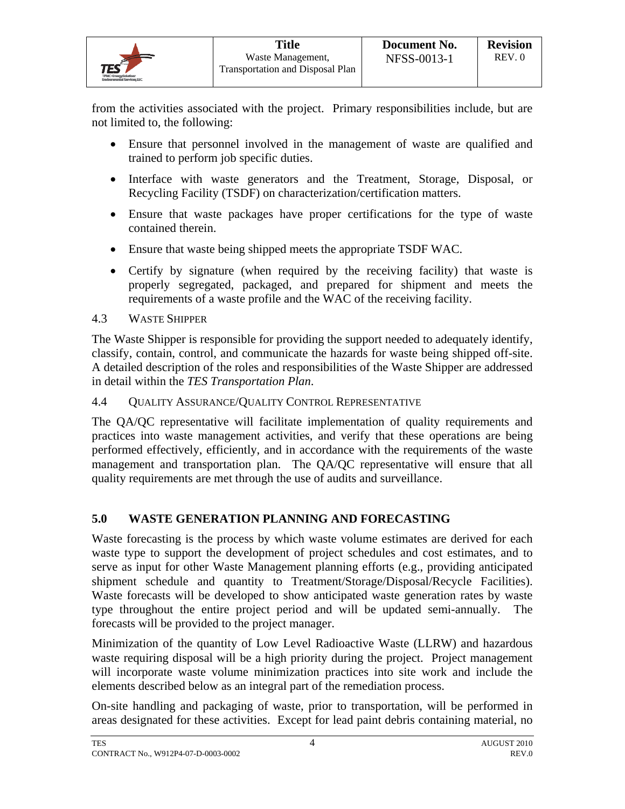from the activities associated with the project. Primary responsibilities include, but are not limited to, the following:

- Ensure that personnel involved in the management of waste are qualified and trained to perform job specific duties.
- Interface with waste generators and the Treatment, Storage, Disposal, or Recycling Facility (TSDF) on characterization/certification matters.
- Ensure that waste packages have proper certifications for the type of waste contained therein.
- Ensure that waste being shipped meets the appropriate TSDF WAC.
- Certify by signature (when required by the receiving facility) that waste is properly segregated, packaged, and prepared for shipment and meets the requirements of a waste profile and the WAC of the receiving facility.

## 4.3 WASTE SHIPPER

The Waste Shipper is responsible for providing the support needed to adequately identify, classify, contain, control, and communicate the hazards for waste being shipped off-site. A detailed description of the roles and responsibilities of the Waste Shipper are addressed in detail within the *TES Transportation Plan*.

4.4 QUALITY ASSURANCE/QUALITY CONTROL REPRESENTATIVE

The QA/QC representative will facilitate implementation of quality requirements and practices into waste management activities, and verify that these operations are being performed effectively, efficiently, and in accordance with the requirements of the waste management and transportation plan. The QA/QC representative will ensure that all quality requirements are met through the use of audits and surveillance.

## **5.0 WASTE GENERATION PLANNING AND FORECASTING**

Waste forecasting is the process by which waste volume estimates are derived for each waste type to support the development of project schedules and cost estimates, and to serve as input for other Waste Management planning efforts (e.g., providing anticipated shipment schedule and quantity to Treatment/Storage/Disposal/Recycle Facilities). Waste forecasts will be developed to show anticipated waste generation rates by waste type throughout the entire project period and will be updated semi-annually. The forecasts will be provided to the project manager.

Minimization of the quantity of Low Level Radioactive Waste (LLRW) and hazardous waste requiring disposal will be a high priority during the project. Project management will incorporate waste volume minimization practices into site work and include the elements described below as an integral part of the remediation process.

On-site handling and packaging of waste, prior to transportation, will be performed in areas designated for these activities. Except for lead paint debris containing material, no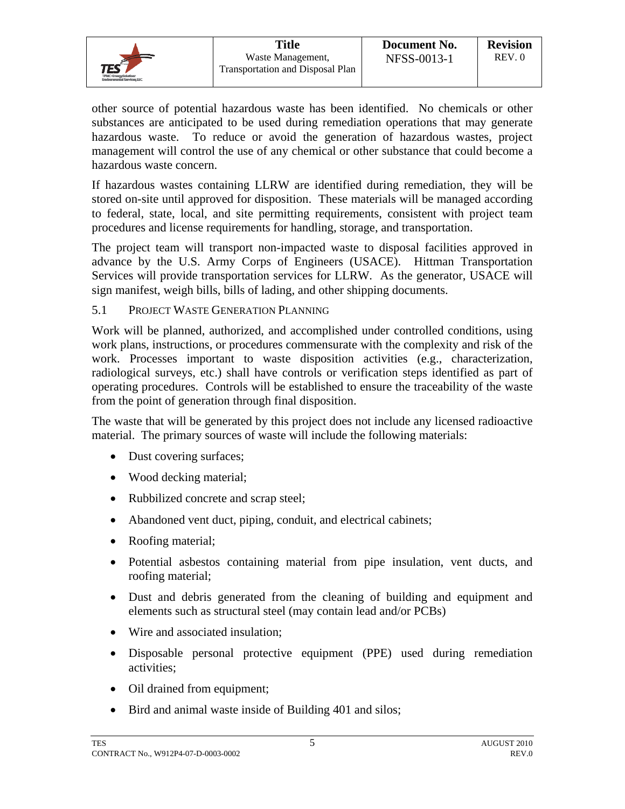|                                                                        | <b>Title</b>                                          | Document No. | <b>Revision</b> |
|------------------------------------------------------------------------|-------------------------------------------------------|--------------|-----------------|
| $TES^{\epsilon}$<br>TPMC-EnergySolution:<br>Environmental Services LLC | Waste Management,<br>Transportation and Disposal Plan | NFSS-0013-1  | REV.0           |

other source of potential hazardous waste has been identified. No chemicals or other substances are anticipated to be used during remediation operations that may generate hazardous waste. To reduce or avoid the generation of hazardous wastes, project management will control the use of any chemical or other substance that could become a hazardous waste concern.

If hazardous wastes containing LLRW are identified during remediation, they will be stored on-site until approved for disposition. These materials will be managed according to federal, state, local, and site permitting requirements, consistent with project team procedures and license requirements for handling, storage, and transportation.

The project team will transport non-impacted waste to disposal facilities approved in advance by the U.S. Army Corps of Engineers (USACE). Hittman Transportation Services will provide transportation services for LLRW. As the generator, USACE will sign manifest, weigh bills, bills of lading, and other shipping documents.

#### 5.1 PROJECT WASTE GENERATION PLANNING

Work will be planned, authorized, and accomplished under controlled conditions, using work plans, instructions, or procedures commensurate with the complexity and risk of the work. Processes important to waste disposition activities (e.g., characterization, radiological surveys, etc.) shall have controls or verification steps identified as part of operating procedures. Controls will be established to ensure the traceability of the waste from the point of generation through final disposition.

The waste that will be generated by this project does not include any licensed radioactive material. The primary sources of waste will include the following materials:

- Dust covering surfaces;
- Wood decking material;
- Rubbilized concrete and scrap steel;
- Abandoned vent duct, piping, conduit, and electrical cabinets;
- Roofing material;
- Potential asbestos containing material from pipe insulation, vent ducts, and roofing material;
- Dust and debris generated from the cleaning of building and equipment and elements such as structural steel (may contain lead and/or PCBs)
- Wire and associated insulation;
- Disposable personal protective equipment (PPE) used during remediation activities;
- Oil drained from equipment;
- Bird and animal waste inside of Building 401 and silos;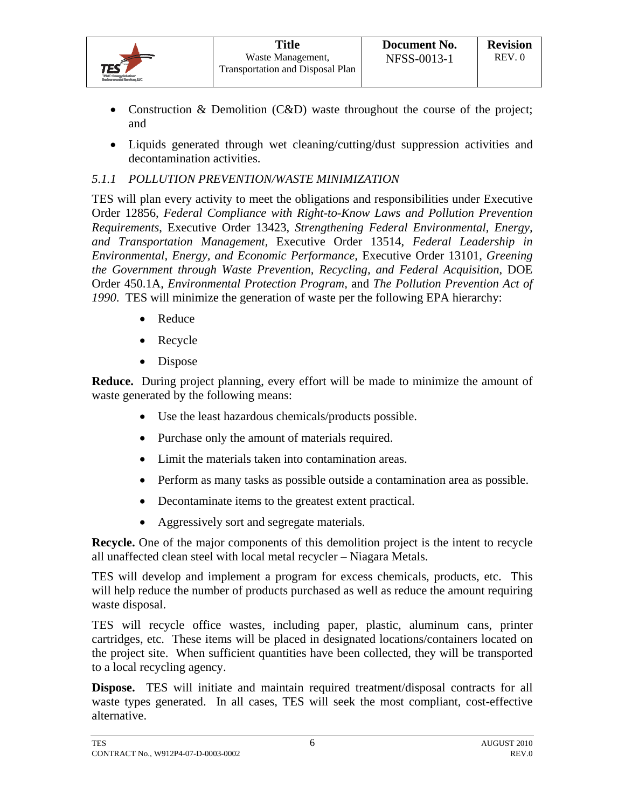- Construction & Demolition (C&D) waste throughout the course of the project; and
- Liquids generated through wet cleaning/cutting/dust suppression activities and decontamination activities.

## *5.1.1 POLLUTION PREVENTION/WASTE MINIMIZATION*

TES will plan every activity to meet the obligations and responsibilities under Executive Order 12856, *Federal Compliance with Right-to-Know Laws and Pollution Prevention Requirements*, Executive Order 13423, *Strengthening Federal Environmental, Energy, and Transportation Management,* Executive Order 13514, *Federal Leadership in Environmental, Energy, and Economic Performance,* Executive Order 13101, *Greening the Government through Waste Prevention, Recycling, and Federal Acquisition*, DOE Order 450.1A, *Environmental Protection Program,* and *The Pollution Prevention Act of 1990*. TES will minimize the generation of waste per the following EPA hierarchy:

- Reduce
- Recycle
- Dispose

**Reduce.** During project planning, every effort will be made to minimize the amount of waste generated by the following means:

- Use the least hazardous chemicals/products possible.
- Purchase only the amount of materials required.
- Limit the materials taken into contamination areas.
- Perform as many tasks as possible outside a contamination area as possible.
- Decontaminate items to the greatest extent practical.
- Aggressively sort and segregate materials.

**Recycle.** One of the major components of this demolition project is the intent to recycle all unaffected clean steel with local metal recycler – Niagara Metals.

TES will develop and implement a program for excess chemicals, products, etc. This will help reduce the number of products purchased as well as reduce the amount requiring waste disposal.

TES will recycle office wastes, including paper, plastic, aluminum cans, printer cartridges, etc. These items will be placed in designated locations/containers located on the project site. When sufficient quantities have been collected, they will be transported to a local recycling agency.

**Dispose.** TES will initiate and maintain required treatment/disposal contracts for all waste types generated. In all cases, TES will seek the most compliant, cost-effective alternative.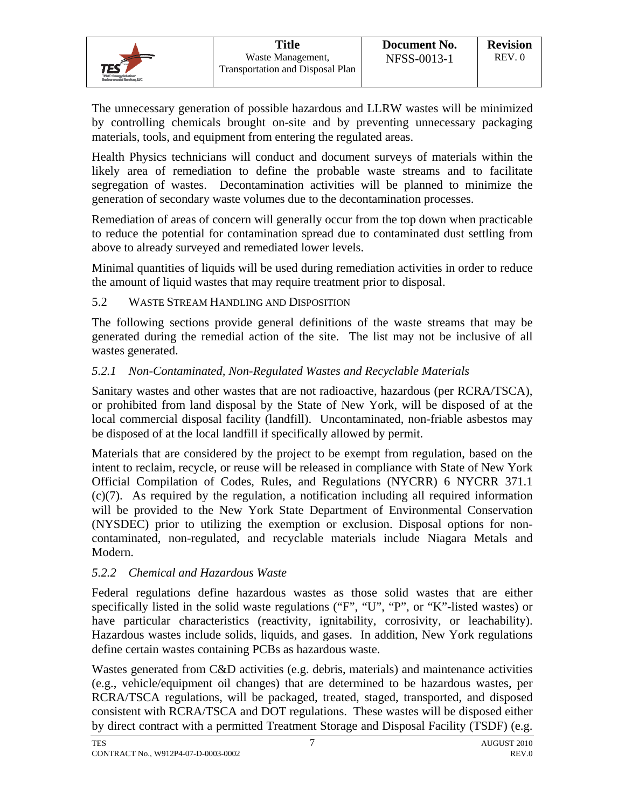The unnecessary generation of possible hazardous and LLRW wastes will be minimized by controlling chemicals brought on-site and by preventing unnecessary packaging materials, tools, and equipment from entering the regulated areas.

Health Physics technicians will conduct and document surveys of materials within the likely area of remediation to define the probable waste streams and to facilitate segregation of wastes. Decontamination activities will be planned to minimize the generation of secondary waste volumes due to the decontamination processes.

Remediation of areas of concern will generally occur from the top down when practicable to reduce the potential for contamination spread due to contaminated dust settling from above to already surveyed and remediated lower levels.

Minimal quantities of liquids will be used during remediation activities in order to reduce the amount of liquid wastes that may require treatment prior to disposal.

## 5.2 WASTE STREAM HANDLING AND DISPOSITION

The following sections provide general definitions of the waste streams that may be generated during the remedial action of the site. The list may not be inclusive of all wastes generated.

## *5.2.1 Non-Contaminated, Non-Regulated Wastes and Recyclable Materials*

Sanitary wastes and other wastes that are not radioactive, hazardous (per RCRA/TSCA), or prohibited from land disposal by the State of New York, will be disposed of at the local commercial disposal facility (landfill). Uncontaminated, non-friable asbestos may be disposed of at the local landfill if specifically allowed by permit.

Materials that are considered by the project to be exempt from regulation, based on the intent to reclaim, recycle, or reuse will be released in compliance with State of New York Official Compilation of Codes, Rules, and Regulations (NYCRR) 6 NYCRR 371.1 (c)(7). As required by the regulation, a notification including all required information will be provided to the New York State Department of Environmental Conservation (NYSDEC) prior to utilizing the exemption or exclusion. Disposal options for noncontaminated, non-regulated, and recyclable materials include Niagara Metals and Modern.

## *5.2.2 Chemical and Hazardous Waste*

Federal regulations define hazardous wastes as those solid wastes that are either specifically listed in the solid waste regulations ("F", "U", "P", or "K"-listed wastes) or have particular characteristics (reactivity, ignitability, corrosivity, or leachability). Hazardous wastes include solids, liquids, and gases. In addition, New York regulations define certain wastes containing PCBs as hazardous waste.

Wastes generated from C&D activities (e.g. debris, materials) and maintenance activities (e.g., vehicle/equipment oil changes) that are determined to be hazardous wastes, per RCRA/TSCA regulations, will be packaged, treated, staged, transported, and disposed consistent with RCRA/TSCA and DOT regulations. These wastes will be disposed either by direct contract with a permitted Treatment Storage and Disposal Facility (TSDF) (e.g.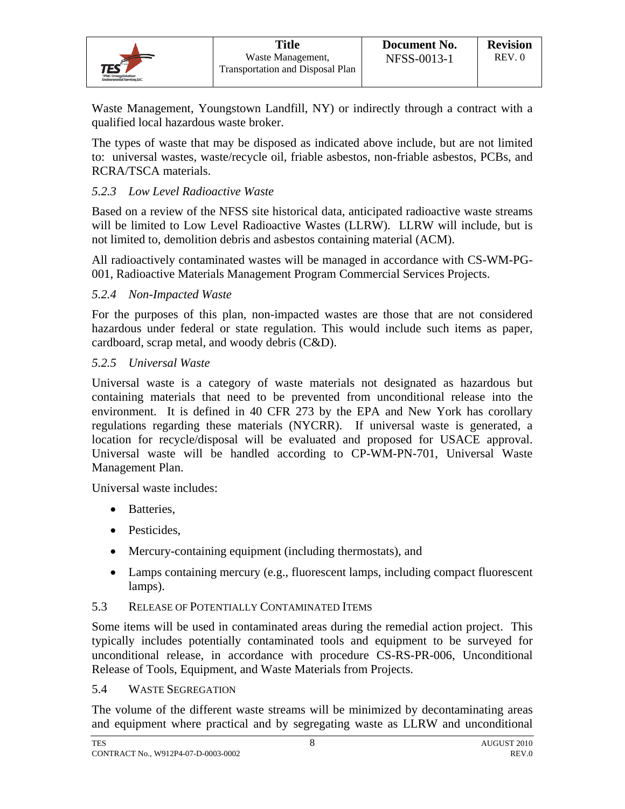|                                                        | <b>Title</b>                                          | Document No. | <b>Revision</b> |
|--------------------------------------------------------|-------------------------------------------------------|--------------|-----------------|
| $\mathcal{TES}^{\mathcal{ET}}$<br>TPMC-EnergySchulkner | Waste Management.<br>Transportation and Disposal Plan | NFSS-0013-1  | REV.0           |

Waste Management, Youngstown Landfill, NY) or indirectly through a contract with a qualified local hazardous waste broker.

The types of waste that may be disposed as indicated above include, but are not limited to: universal wastes, waste/recycle oil, friable asbestos, non-friable asbestos, PCBs, and RCRA/TSCA materials.

## *5.2.3 Low Level Radioactive Waste*

Based on a review of the NFSS site historical data, anticipated radioactive waste streams will be limited to Low Level Radioactive Wastes (LLRW). LLRW will include, but is not limited to, demolition debris and asbestos containing material (ACM).

All radioactively contaminated wastes will be managed in accordance with CS-WM-PG-001, Radioactive Materials Management Program Commercial Services Projects.

#### *5.2.4 Non-Impacted Waste*

For the purposes of this plan, non-impacted wastes are those that are not considered hazardous under federal or state regulation. This would include such items as paper, cardboard, scrap metal, and woody debris (C&D).

#### *5.2.5 Universal Waste*

Universal waste is a category of waste materials not designated as hazardous but containing materials that need to be prevented from unconditional release into the environment. It is defined in 40 CFR 273 by the EPA and New York has corollary regulations regarding these materials (NYCRR). If universal waste is generated, a location for recycle/disposal will be evaluated and proposed for USACE approval. Universal waste will be handled according to CP-WM-PN-701, Universal Waste Management Plan.

Universal waste includes:

- Batteries.
- Pesticides.
- Mercury-containing equipment (including thermostats), and
- Lamps containing mercury (e.g., fluorescent lamps, including compact fluorescent lamps).

#### 5.3 RELEASE OF POTENTIALLY CONTAMINATED ITEMS

Some items will be used in contaminated areas during the remedial action project. This typically includes potentially contaminated tools and equipment to be surveyed for unconditional release, in accordance with procedure CS-RS-PR-006, Unconditional Release of Tools, Equipment, and Waste Materials from Projects.

#### 5.4 WASTE SEGREGATION

The volume of the different waste streams will be minimized by decontaminating areas and equipment where practical and by segregating waste as LLRW and unconditional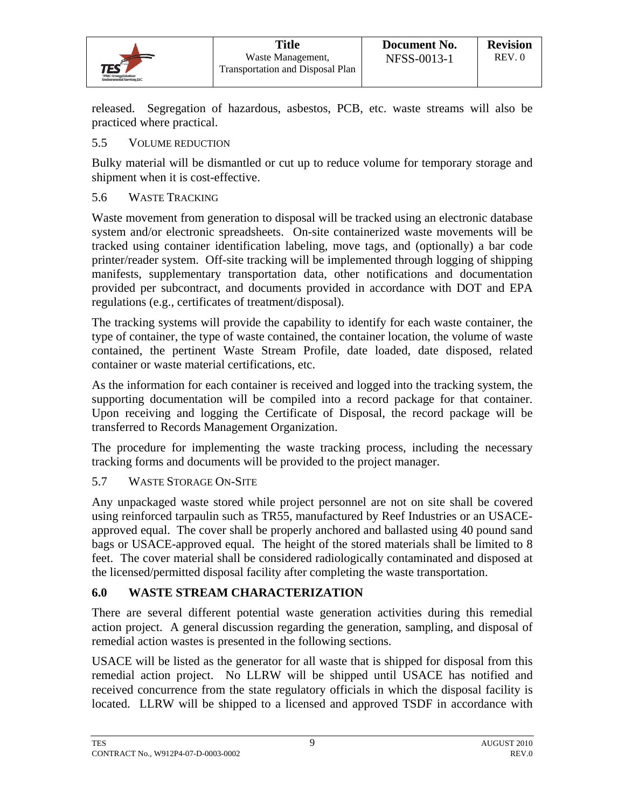|                                                                         | <b>Title</b>                                          | Document No. | <b>Revision</b> |
|-------------------------------------------------------------------------|-------------------------------------------------------|--------------|-----------------|
| $TES^{\epsilon}$<br>TPMC-EnergySchulker:<br>Environmental Sanvices, LLC | Waste Management,<br>Transportation and Disposal Plan | NFSS-0013-1  | REV.0           |

released. Segregation of hazardous, asbestos, PCB, etc. waste streams will also be practiced where practical.

## 5.5 VOLUME REDUCTION

Bulky material will be dismantled or cut up to reduce volume for temporary storage and shipment when it is cost-effective.

#### 5.6 WASTE TRACKING

Waste movement from generation to disposal will be tracked using an electronic database system and/or electronic spreadsheets. On-site containerized waste movements will be tracked using container identification labeling, move tags, and (optionally) a bar code printer/reader system. Off-site tracking will be implemented through logging of shipping manifests, supplementary transportation data, other notifications and documentation provided per subcontract, and documents provided in accordance with DOT and EPA regulations (e.g., certificates of treatment/disposal).

The tracking systems will provide the capability to identify for each waste container, the type of container, the type of waste contained, the container location, the volume of waste contained, the pertinent Waste Stream Profile, date loaded, date disposed, related container or waste material certifications, etc.

As the information for each container is received and logged into the tracking system, the supporting documentation will be compiled into a record package for that container. Upon receiving and logging the Certificate of Disposal, the record package will be transferred to Records Management Organization.

The procedure for implementing the waste tracking process, including the necessary tracking forms and documents will be provided to the project manager.

#### 5.7 WASTE STORAGE ON-SITE

Any unpackaged waste stored while project personnel are not on site shall be covered using reinforced tarpaulin such as TR55, manufactured by Reef Industries or an USACEapproved equal. The cover shall be properly anchored and ballasted using 40 pound sand bags or USACE-approved equal. The height of the stored materials shall be limited to 8 feet. The cover material shall be considered radiologically contaminated and disposed at the licensed/permitted disposal facility after completing the waste transportation.

## **6.0 WASTE STREAM CHARACTERIZATION**

There are several different potential waste generation activities during this remedial action project. A general discussion regarding the generation, sampling, and disposal of remedial action wastes is presented in the following sections.

USACE will be listed as the generator for all waste that is shipped for disposal from this remedial action project. No LLRW will be shipped until USACE has notified and received concurrence from the state regulatory officials in which the disposal facility is located. LLRW will be shipped to a licensed and approved TSDF in accordance with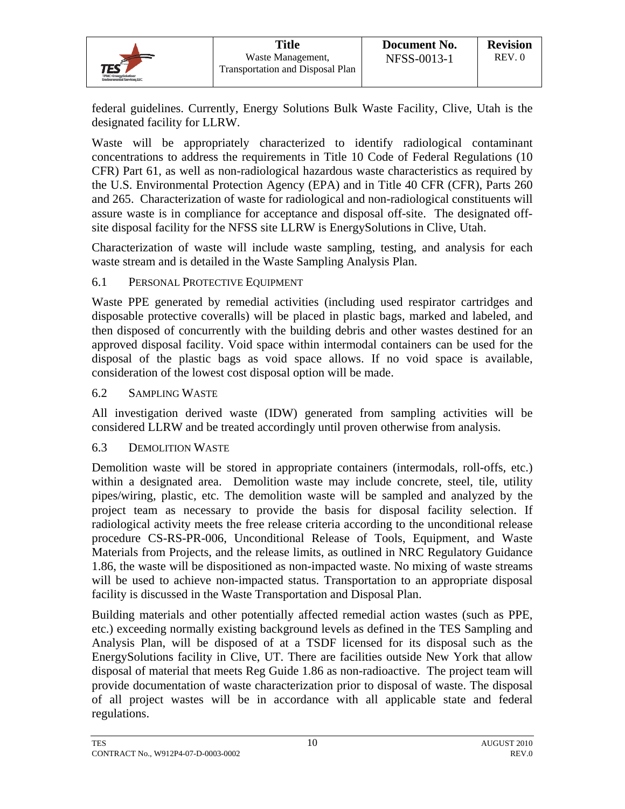|                                                   | <b>Title</b>                                                 | Document No. | <b>Revision</b> |
|---------------------------------------------------|--------------------------------------------------------------|--------------|-----------------|
| $TES^{\epsilon}$                                  | Waste Management,<br><b>Transportation and Disposal Plan</b> | NFSS-0013-1  | REV.0           |
| TPMC-Engravamintour<br>Environmental Services LLC |                                                              |              |                 |

federal guidelines. Currently, Energy Solutions Bulk Waste Facility, Clive, Utah is the designated facility for LLRW.

Waste will be appropriately characterized to identify radiological contaminant concentrations to address the requirements in Title 10 Code of Federal Regulations (10 CFR) Part 61, as well as non-radiological hazardous waste characteristics as required by the U.S. Environmental Protection Agency (EPA) and in Title 40 CFR (CFR), Parts 260 and 265. Characterization of waste for radiological and non-radiological constituents will assure waste is in compliance for acceptance and disposal off-site. The designated offsite disposal facility for the NFSS site LLRW is EnergySolutions in Clive, Utah.

Characterization of waste will include waste sampling, testing, and analysis for each waste stream and is detailed in the Waste Sampling Analysis Plan.

#### 6.1 PERSONAL PROTECTIVE EQUIPMENT

Waste PPE generated by remedial activities (including used respirator cartridges and disposable protective coveralls) will be placed in plastic bags, marked and labeled, and then disposed of concurrently with the building debris and other wastes destined for an approved disposal facility. Void space within intermodal containers can be used for the disposal of the plastic bags as void space allows. If no void space is available, consideration of the lowest cost disposal option will be made.

6.2 SAMPLING WASTE

All investigation derived waste (IDW) generated from sampling activities will be considered LLRW and be treated accordingly until proven otherwise from analysis.

## 6.3 DEMOLITION WASTE

Demolition waste will be stored in appropriate containers (intermodals, roll-offs, etc.) within a designated area. Demolition waste may include concrete, steel, tile, utility pipes/wiring, plastic, etc. The demolition waste will be sampled and analyzed by the project team as necessary to provide the basis for disposal facility selection. If radiological activity meets the free release criteria according to the unconditional release procedure CS-RS-PR-006, Unconditional Release of Tools, Equipment, and Waste Materials from Projects, and the release limits, as outlined in NRC Regulatory Guidance 1.86, the waste will be dispositioned as non-impacted waste. No mixing of waste streams will be used to achieve non-impacted status. Transportation to an appropriate disposal facility is discussed in the Waste Transportation and Disposal Plan.

Building materials and other potentially affected remedial action wastes (such as PPE, etc.) exceeding normally existing background levels as defined in the TES Sampling and Analysis Plan, will be disposed of at a TSDF licensed for its disposal such as the EnergySolutions facility in Clive, UT. There are facilities outside New York that allow disposal of material that meets Reg Guide 1.86 as non-radioactive. The project team will provide documentation of waste characterization prior to disposal of waste. The disposal of all project wastes will be in accordance with all applicable state and federal regulations.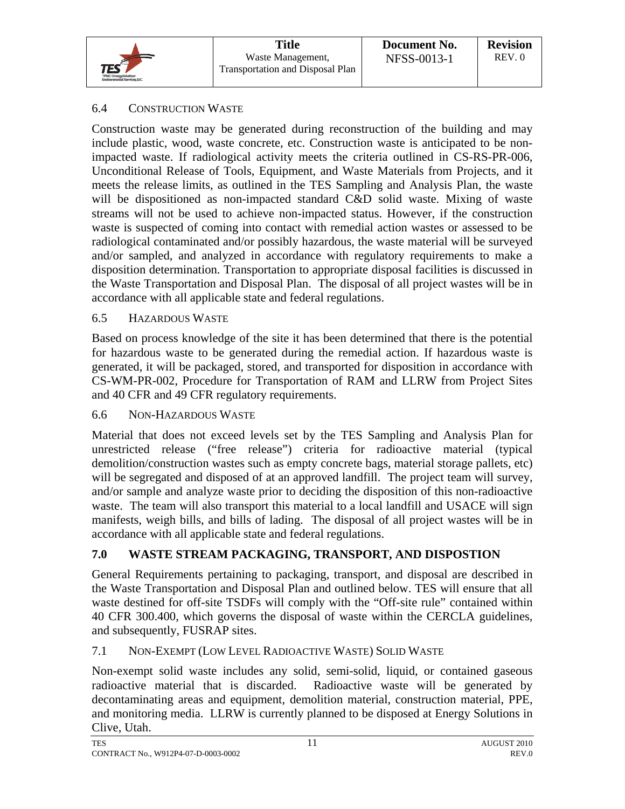|                                                                                   | <b>Title</b>                                                 | Document No.       | <b>Revision</b> |
|-----------------------------------------------------------------------------------|--------------------------------------------------------------|--------------------|-----------------|
| $\mathsf{TES}^\mathsf{SP}$<br>TPMC-EngravSakations<br>Environmental Sanvices, LLC | Waste Management,<br><b>Transportation and Disposal Plan</b> | <b>NFSS-0013-1</b> | REV.0           |

## 6.4 CONSTRUCTION WASTE

Construction waste may be generated during reconstruction of the building and may include plastic, wood, waste concrete, etc. Construction waste is anticipated to be nonimpacted waste. If radiological activity meets the criteria outlined in CS-RS-PR-006, Unconditional Release of Tools, Equipment, and Waste Materials from Projects, and it meets the release limits, as outlined in the TES Sampling and Analysis Plan, the waste will be dispositioned as non-impacted standard C&D solid waste. Mixing of waste streams will not be used to achieve non-impacted status. However, if the construction waste is suspected of coming into contact with remedial action wastes or assessed to be radiological contaminated and/or possibly hazardous, the waste material will be surveyed and/or sampled, and analyzed in accordance with regulatory requirements to make a disposition determination. Transportation to appropriate disposal facilities is discussed in the Waste Transportation and Disposal Plan. The disposal of all project wastes will be in accordance with all applicable state and federal regulations.

#### 6.5 HAZARDOUS WASTE

Based on process knowledge of the site it has been determined that there is the potential for hazardous waste to be generated during the remedial action. If hazardous waste is generated, it will be packaged, stored, and transported for disposition in accordance with CS-WM-PR-002, Procedure for Transportation of RAM and LLRW from Project Sites and 40 CFR and 49 CFR regulatory requirements.

#### 6.6 NON-HAZARDOUS WASTE

Material that does not exceed levels set by the TES Sampling and Analysis Plan for unrestricted release ("free release") criteria for radioactive material (typical demolition/construction wastes such as empty concrete bags, material storage pallets, etc) will be segregated and disposed of at an approved landfill. The project team will survey, and/or sample and analyze waste prior to deciding the disposition of this non-radioactive waste. The team will also transport this material to a local landfill and USACE will sign manifests, weigh bills, and bills of lading. The disposal of all project wastes will be in accordance with all applicable state and federal regulations.

## **7.0 WASTE STREAM PACKAGING, TRANSPORT, AND DISPOSTION**

General Requirements pertaining to packaging, transport, and disposal are described in the Waste Transportation and Disposal Plan and outlined below. TES will ensure that all waste destined for off-site TSDFs will comply with the "Off-site rule" contained within 40 CFR 300.400, which governs the disposal of waste within the CERCLA guidelines, and subsequently, FUSRAP sites.

#### 7.1 NON-EXEMPT (LOW LEVEL RADIOACTIVE WASTE) SOLID WASTE

Non-exempt solid waste includes any solid, semi-solid, liquid, or contained gaseous radioactive material that is discarded. Radioactive waste will be generated by decontaminating areas and equipment, demolition material, construction material, PPE, and monitoring media. LLRW is currently planned to be disposed at Energy Solutions in Clive, Utah.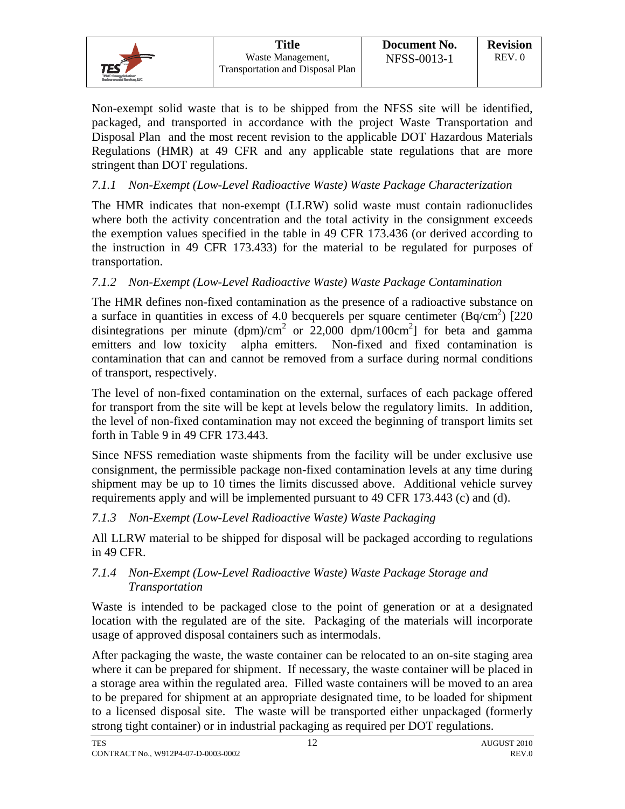|                                                                                           | <b>Title</b>                                                 | Document No. | <b>Revision</b> |
|-------------------------------------------------------------------------------------------|--------------------------------------------------------------|--------------|-----------------|
| $\mathsf{TES}^{\mathsf{SP}}$<br>TPMC-EnergySolution:<br><b>Endocranacial Services LLC</b> | Waste Management,<br><b>Transportation and Disposal Plan</b> | NFSS-0013-1  | REV.0           |

Non-exempt solid waste that is to be shipped from the NFSS site will be identified, packaged, and transported in accordance with the project Waste Transportation and Disposal Plan and the most recent revision to the applicable DOT Hazardous Materials Regulations (HMR) at 49 CFR and any applicable state regulations that are more stringent than DOT regulations.

## *7.1.1 Non-Exempt (Low-Level Radioactive Waste) Waste Package Characterization*

The HMR indicates that non-exempt (LLRW) solid waste must contain radionuclides where both the activity concentration and the total activity in the consignment exceeds the exemption values specified in the table in 49 CFR 173.436 (or derived according to the instruction in 49 CFR 173.433) for the material to be regulated for purposes of transportation.

## *7.1.2 Non-Exempt (Low-Level Radioactive Waste) Waste Package Contamination*

The HMR defines non-fixed contamination as the presence of a radioactive substance on a surface in quantities in excess of 4.0 becquerels per square centimeter  $(Bq/cm<sup>2</sup>)$  [220 disintegrations per minute (dpm)/cm<sup>2</sup> or 22,000 dpm/100cm<sup>2</sup>] for beta and gamma emitters and low toxicity alpha emitters. Non-fixed and fixed contamination is contamination that can and cannot be removed from a surface during normal conditions of transport, respectively.

The level of non-fixed contamination on the external, surfaces of each package offered for transport from the site will be kept at levels below the regulatory limits. In addition, the level of non-fixed contamination may not exceed the beginning of transport limits set forth in Table 9 in 49 CFR 173.443.

Since NFSS remediation waste shipments from the facility will be under exclusive use consignment, the permissible package non-fixed contamination levels at any time during shipment may be up to 10 times the limits discussed above. Additional vehicle survey requirements apply and will be implemented pursuant to 49 CFR 173.443 (c) and (d).

## *7.1.3 Non-Exempt (Low-Level Radioactive Waste) Waste Packaging*

All LLRW material to be shipped for disposal will be packaged according to regulations in 49 CFR.

#### *7.1.4 Non-Exempt (Low-Level Radioactive Waste) Waste Package Storage and Transportation*

Waste is intended to be packaged close to the point of generation or at a designated location with the regulated are of the site. Packaging of the materials will incorporate usage of approved disposal containers such as intermodals.

After packaging the waste, the waste container can be relocated to an on-site staging area where it can be prepared for shipment. If necessary, the waste container will be placed in a storage area within the regulated area. Filled waste containers will be moved to an area to be prepared for shipment at an appropriate designated time, to be loaded for shipment to a licensed disposal site. The waste will be transported either unpackaged (formerly strong tight container) or in industrial packaging as required per DOT regulations.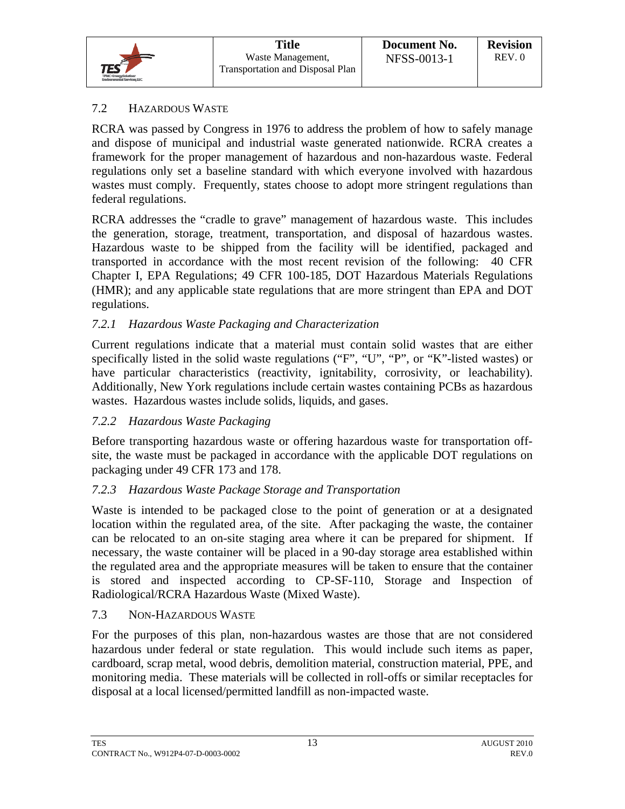## 7.2 HAZARDOUS WASTE

RCRA was passed by Congress in 1976 to address the problem of how to safely manage and dispose of municipal and industrial waste generated nationwide. RCRA creates a framework for the proper management of hazardous and non-hazardous waste. Federal regulations only set a baseline standard with which everyone involved with hazardous wastes must comply. Frequently, states choose to adopt more stringent regulations than federal regulations.

RCRA addresses the "cradle to grave" management of hazardous waste. This includes the generation, storage, treatment, transportation, and disposal of hazardous wastes. Hazardous waste to be shipped from the facility will be identified, packaged and transported in accordance with the most recent revision of the following: 40 CFR Chapter I, EPA Regulations; 49 CFR 100-185, DOT Hazardous Materials Regulations (HMR); and any applicable state regulations that are more stringent than EPA and DOT regulations.

#### *7.2.1 Hazardous Waste Packaging and Characterization*

Current regulations indicate that a material must contain solid wastes that are either specifically listed in the solid waste regulations ("F", "U", "P", or "K"-listed wastes) or have particular characteristics (reactivity, ignitability, corrosivity, or leachability). Additionally, New York regulations include certain wastes containing PCBs as hazardous wastes. Hazardous wastes include solids, liquids, and gases.

#### *7.2.2 Hazardous Waste Packaging*

Before transporting hazardous waste or offering hazardous waste for transportation offsite, the waste must be packaged in accordance with the applicable DOT regulations on packaging under 49 CFR 173 and 178.

## *7.2.3 Hazardous Waste Package Storage and Transportation*

Waste is intended to be packaged close to the point of generation or at a designated location within the regulated area, of the site. After packaging the waste, the container can be relocated to an on-site staging area where it can be prepared for shipment. If necessary, the waste container will be placed in a 90-day storage area established within the regulated area and the appropriate measures will be taken to ensure that the container is stored and inspected according to CP-SF-110, Storage and Inspection of Radiological/RCRA Hazardous Waste (Mixed Waste).

#### 7.3 NON-HAZARDOUS WASTE

For the purposes of this plan, non-hazardous wastes are those that are not considered hazardous under federal or state regulation. This would include such items as paper, cardboard, scrap metal, wood debris, demolition material, construction material, PPE, and monitoring media. These materials will be collected in roll-offs or similar receptacles for disposal at a local licensed/permitted landfill as non-impacted waste.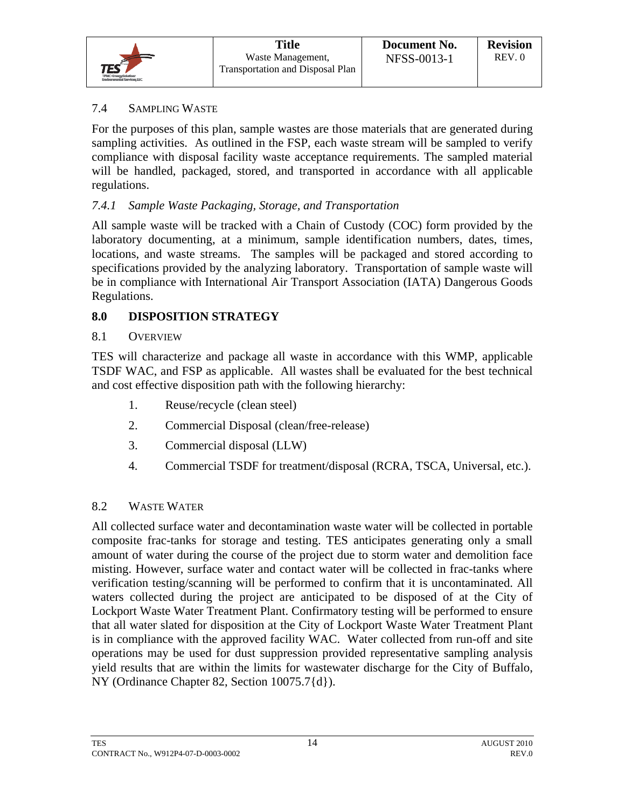|                                                                                     | <b>Title</b>                                                 | Document No.       | <b>Revision</b> |
|-------------------------------------------------------------------------------------|--------------------------------------------------------------|--------------------|-----------------|
| $\mathsf{TES}^{\mathsf{SP}}$<br>TPMC-Engravaminations<br>Environmental Services LLC | Waste Management,<br><b>Transportation and Disposal Plan</b> | <b>NFSS-0013-1</b> | REV.0           |

#### 7.4 SAMPLING WASTE

For the purposes of this plan, sample wastes are those materials that are generated during sampling activities. As outlined in the FSP, each waste stream will be sampled to verify compliance with disposal facility waste acceptance requirements. The sampled material will be handled, packaged, stored, and transported in accordance with all applicable regulations.

## *7.4.1 Sample Waste Packaging, Storage, and Transportation*

All sample waste will be tracked with a Chain of Custody (COC) form provided by the laboratory documenting, at a minimum, sample identification numbers, dates, times, locations, and waste streams. The samples will be packaged and stored according to specifications provided by the analyzing laboratory. Transportation of sample waste will be in compliance with International Air Transport Association (IATA) Dangerous Goods Regulations.

## **8.0 DISPOSITION STRATEGY**

#### 8.1 OVERVIEW

TES will characterize and package all waste in accordance with this WMP, applicable TSDF WAC, and FSP as applicable. All wastes shall be evaluated for the best technical and cost effective disposition path with the following hierarchy:

- 1. Reuse/recycle (clean steel)
- 2. Commercial Disposal (clean/free-release)
- 3. Commercial disposal (LLW)
- 4. Commercial TSDF for treatment/disposal (RCRA, TSCA, Universal, etc.).

#### 8.2 WASTE WATER

All collected surface water and decontamination waste water will be collected in portable composite frac-tanks for storage and testing. TES anticipates generating only a small amount of water during the course of the project due to storm water and demolition face misting. However, surface water and contact water will be collected in frac-tanks where verification testing/scanning will be performed to confirm that it is uncontaminated. All waters collected during the project are anticipated to be disposed of at the City of Lockport Waste Water Treatment Plant. Confirmatory testing will be performed to ensure that all water slated for disposition at the City of Lockport Waste Water Treatment Plant is in compliance with the approved facility WAC. Water collected from run-off and site operations may be used for dust suppression provided representative sampling analysis yield results that are within the limits for wastewater discharge for the City of Buffalo, NY (Ordinance Chapter 82, Section 10075.7{d}).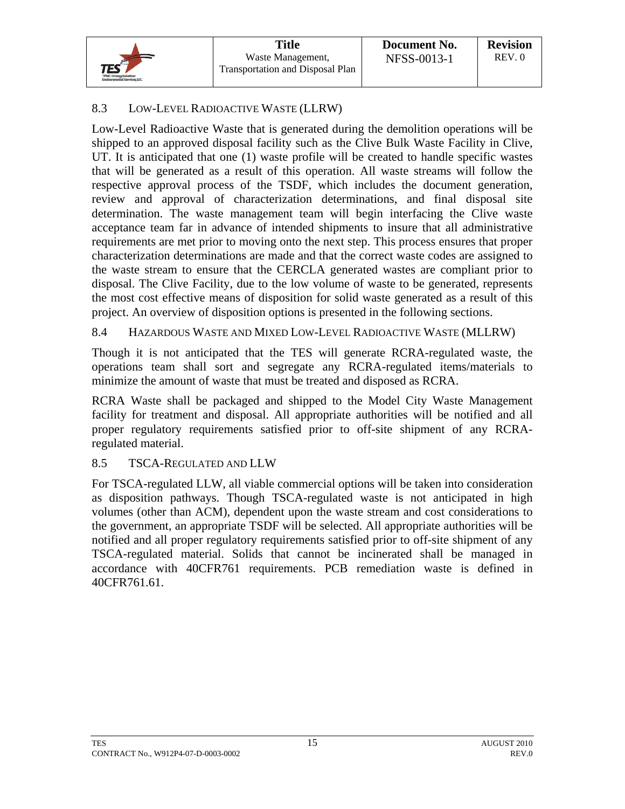## 8.3 LOW-LEVEL RADIOACTIVE WASTE (LLRW)

Low-Level Radioactive Waste that is generated during the demolition operations will be shipped to an approved disposal facility such as the Clive Bulk Waste Facility in Clive, UT. It is anticipated that one (1) waste profile will be created to handle specific wastes that will be generated as a result of this operation. All waste streams will follow the respective approval process of the TSDF, which includes the document generation, review and approval of characterization determinations, and final disposal site determination. The waste management team will begin interfacing the Clive waste acceptance team far in advance of intended shipments to insure that all administrative requirements are met prior to moving onto the next step. This process ensures that proper characterization determinations are made and that the correct waste codes are assigned to the waste stream to ensure that the CERCLA generated wastes are compliant prior to disposal. The Clive Facility, due to the low volume of waste to be generated, represents the most cost effective means of disposition for solid waste generated as a result of this project. An overview of disposition options is presented in the following sections.

#### 8.4 HAZARDOUS WASTE AND MIXED LOW-LEVEL RADIOACTIVE WASTE (MLLRW)

Though it is not anticipated that the TES will generate RCRA-regulated waste, the operations team shall sort and segregate any RCRA-regulated items/materials to minimize the amount of waste that must be treated and disposed as RCRA.

RCRA Waste shall be packaged and shipped to the Model City Waste Management facility for treatment and disposal. All appropriate authorities will be notified and all proper regulatory requirements satisfied prior to off-site shipment of any RCRAregulated material.

## 8.5 TSCA-REGULATED AND LLW

For TSCA-regulated LLW, all viable commercial options will be taken into consideration as disposition pathways. Though TSCA-regulated waste is not anticipated in high volumes (other than ACM), dependent upon the waste stream and cost considerations to the government, an appropriate TSDF will be selected. All appropriate authorities will be notified and all proper regulatory requirements satisfied prior to off-site shipment of any TSCA-regulated material. Solids that cannot be incinerated shall be managed in accordance with 40CFR761 requirements. PCB remediation waste is defined in 40CFR761.61.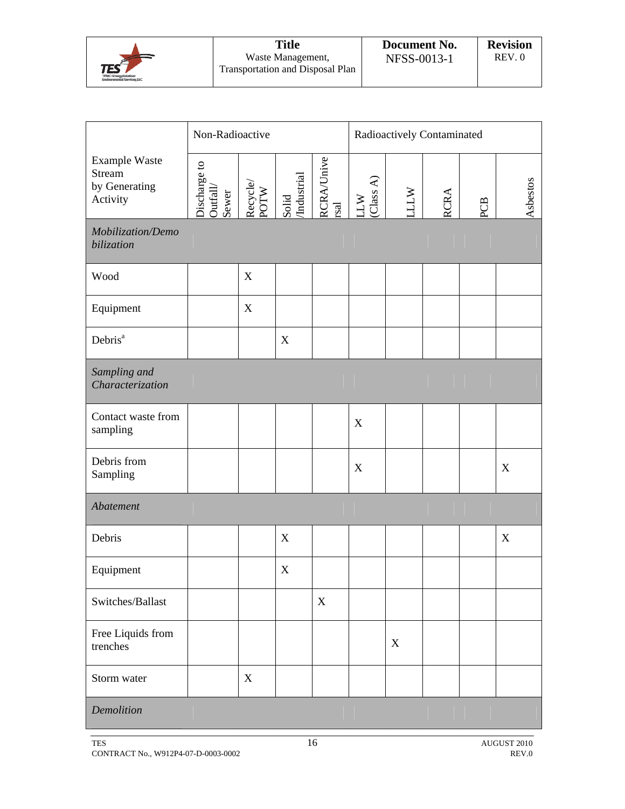|                                                                                      | <b>Title</b>                                                 | Document No. | <b>Revision</b> |
|--------------------------------------------------------------------------------------|--------------------------------------------------------------|--------------|-----------------|
| $\mathsf{TES}^{\mathsf{SP}}$<br>TPMC-Engravaminations<br>Environmental Sanvices, LLC | Waste Management,<br><b>Transportation and Disposal Plan</b> | NFSS-0013-1  | REV.0           |

|                                                             | Non-Radioactive                   |                  |                      | Radioactively Contaminated         |               |            |             |     |          |
|-------------------------------------------------------------|-----------------------------------|------------------|----------------------|------------------------------------|---------------|------------|-------------|-----|----------|
| Example Waste<br><b>Stream</b><br>by Generating<br>Activity | Discharge to<br>Outfall/<br>Sewer | Recycle/<br>POTW | Solid<br>/Industrial | <b>RCRA/Unive</b><br>$_{\rm rsal}$ | LLW (Class A) | <b>ATT</b> | <b>RCRA</b> | PCB | Asbestos |
| Mobilization/Demo<br>bilization                             |                                   |                  |                      |                                    |               |            |             |     |          |
| Wood                                                        |                                   | $\mathbf X$      |                      |                                    |               |            |             |     |          |
| Equipment                                                   |                                   | $\mathbf X$      |                      |                                    |               |            |             |     |          |
| Debris <sup>a</sup>                                         |                                   |                  | $\mathbf X$          |                                    |               |            |             |     |          |
| Sampling and<br>Characterization                            |                                   |                  |                      |                                    |               |            |             |     |          |
| Contact waste from<br>sampling                              |                                   |                  |                      |                                    | X             |            |             |     |          |
| Debris from<br>Sampling                                     |                                   |                  |                      |                                    | $\mathbf X$   |            |             |     | X        |
| Abatement                                                   |                                   |                  |                      |                                    |               |            |             |     |          |
| Debris                                                      |                                   |                  | X                    |                                    |               |            |             |     | X        |
| Equipment                                                   |                                   |                  | $\mathbf X$          |                                    |               |            |             |     |          |
| Switches/Ballast                                            |                                   |                  |                      | $\mathbf X$                        |               |            |             |     |          |
| Free Liquids from<br>trenches                               |                                   |                  |                      |                                    |               | X          |             |     |          |
| Storm water                                                 |                                   | X                |                      |                                    |               |            |             |     |          |
| Demolition                                                  |                                   |                  |                      |                                    |               |            |             |     |          |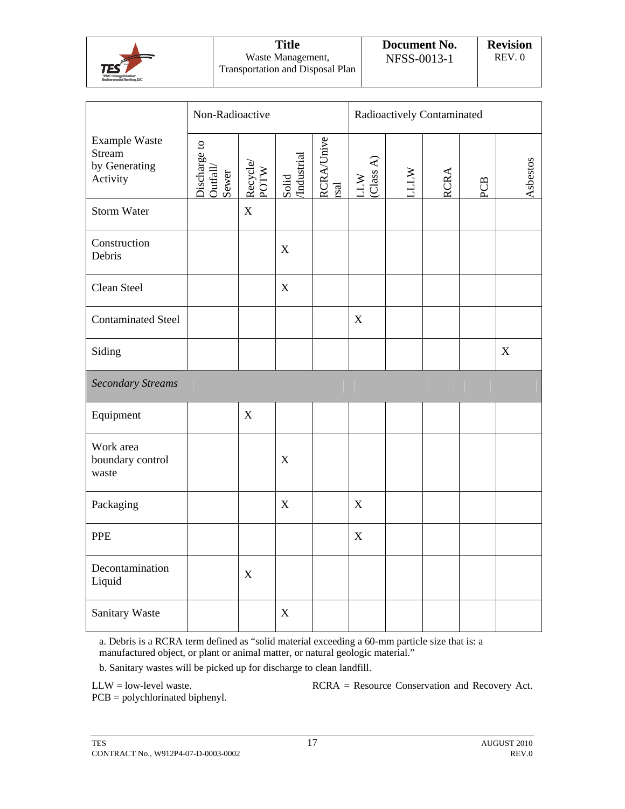

| <b>Title</b>                     |
|----------------------------------|
| Waste Management,                |
| Transportation and Disposal Plan |

|                                                                    | Non-Radioactive                   |                           |                           |                                    | Radioactively Contaminated             |            |             |     |                           |          |
|--------------------------------------------------------------------|-----------------------------------|---------------------------|---------------------------|------------------------------------|----------------------------------------|------------|-------------|-----|---------------------------|----------|
| <b>Example Waste</b><br><b>Stream</b><br>by Generating<br>Activity | Discharge to<br>Outfall/<br>Sewer | Recycle/<br>POTW          | Solid<br>/Industrial      | <b>RCRA/Unive</b><br>$_{\rm rsal}$ | $\left( Class\ A\right)$<br><b>WTT</b> | <b>WTT</b> | <b>RCRA</b> | PCB |                           | Asbestos |
| <b>Storm Water</b>                                                 |                                   | $\mathbf X$               |                           |                                    |                                        |            |             |     |                           |          |
| Construction<br>Debris                                             |                                   |                           | $\mathbf X$               |                                    |                                        |            |             |     |                           |          |
| Clean Steel                                                        |                                   |                           | $\mathbf X$               |                                    |                                        |            |             |     |                           |          |
| <b>Contaminated Steel</b>                                          |                                   |                           |                           |                                    | X                                      |            |             |     |                           |          |
| Siding                                                             |                                   |                           |                           |                                    |                                        |            |             |     | $\boldsymbol{\mathrm{X}}$ |          |
| <b>Secondary Streams</b>                                           |                                   |                           |                           |                                    |                                        |            |             |     |                           |          |
| Equipment                                                          |                                   | $\boldsymbol{\mathrm{X}}$ |                           |                                    |                                        |            |             |     |                           |          |
| Work area<br>boundary control<br>waste                             |                                   |                           | $\boldsymbol{\mathrm{X}}$ |                                    |                                        |            |             |     |                           |          |
| Packaging                                                          |                                   |                           | $\mathbf X$               |                                    | $\mathbf X$                            |            |             |     |                           |          |
| <b>PPE</b>                                                         |                                   |                           |                           |                                    | $\mathbf X$                            |            |             |     |                           |          |
| Decontamination<br>Liquid                                          |                                   | $\boldsymbol{\mathrm{X}}$ |                           |                                    |                                        |            |             |     |                           |          |
| Sanitary Waste                                                     |                                   |                           | $\mathbf X$               |                                    |                                        |            |             |     |                           |          |

a. Debris is a RCRA term defined as "solid material exceeding a 60-mm particle size that is: a manufactured object, or plant or animal matter, or natural geologic material."

b. Sanitary wastes will be picked up for discharge to clean landfill.

LLW = low-level waste. RCRA = Resource Conservation and Recovery Act.

PCB = polychlorinated biphenyl.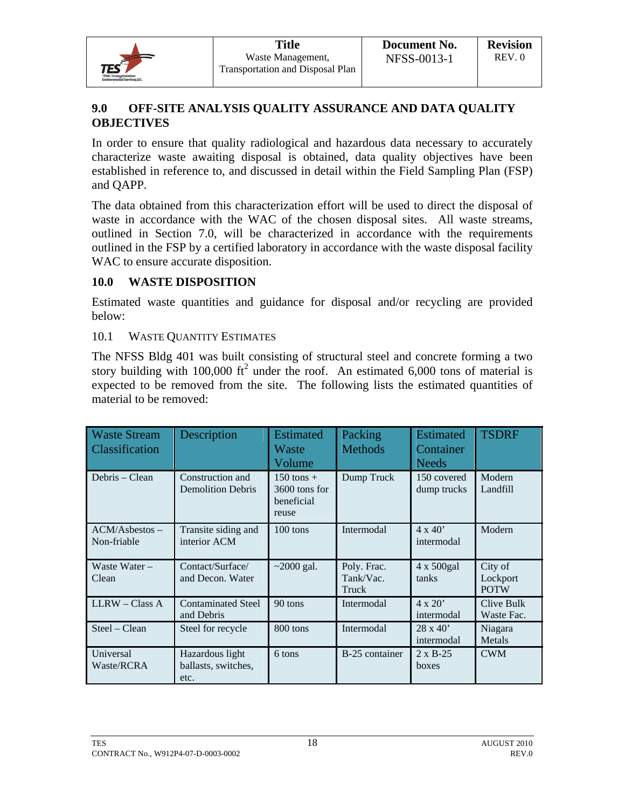

## **9.0 OFF-SITE ANALYSIS QUALITY ASSURANCE AND DATA QUALITY OBJECTIVES**

In order to ensure that quality radiological and hazardous data necessary to accurately characterize waste awaiting disposal is obtained, data quality objectives have been established in reference to, and discussed in detail within the Field Sampling Plan (FSP) and QAPP.

The data obtained from this characterization effort will be used to direct the disposal of waste in accordance with the WAC of the chosen disposal sites. All waste streams, outlined in Section 7.0, will be characterized in accordance with the requirements outlined in the FSP by a certified laboratory in accordance with the waste disposal facility WAC to ensure accurate disposition.

#### **10.0 WASTE DISPOSITION**

Estimated waste quantities and guidance for disposal and/or recycling are provided below:

#### 10.1 WASTE QUANTITY ESTIMATES

The NFSS Bldg 401 was built consisting of structural steel and concrete forming a two story building with 100,000  $\text{ft}^2$  under the roof. An estimated 6,000 tons of material is expected to be removed from the site. The following lists the estimated quantities of material to be removed:

| <b>Waste Stream</b><br>Classification | Description                                    | <b>Estimated</b><br>Waste<br>Volume                    | Packing<br><b>Methods</b>         | <b>Estimated</b><br>Container<br><b>Needs</b> | <b>TSDRF</b>                       |
|---------------------------------------|------------------------------------------------|--------------------------------------------------------|-----------------------------------|-----------------------------------------------|------------------------------------|
| Debris – Clean                        | Construction and<br><b>Demolition Debris</b>   | $150$ tons $+$<br>3600 tons for<br>beneficial<br>reuse | Dump Truck                        | 150 covered<br>dump trucks                    | Modern<br>Landfill                 |
| $ACM/Asbestos -$<br>Non-friable       | Transite siding and<br>interior ACM            | $100$ tons                                             | Intermodal                        | $4 \times 40'$<br>intermodal                  | Modern                             |
| Waste Water -<br>Clean                | Contact/Surface/<br>and Decon. Water           | $\sim$ 2000 gal.                                       | Poly. Frac.<br>Tank/Vac.<br>Truck | $4 \times 500$ gal<br>tanks                   | City of<br>Lockport<br><b>POTW</b> |
| $LLRW - Class A$                      | <b>Contaminated Steel</b><br>and Debris        | 90 tons                                                | Intermodal                        | $4 \times 20'$<br>intermodal                  | Clive Bulk<br>Waste Fac.           |
| $Steel - Clean$                       | Steel for recycle                              | 800 tons                                               | Intermodal                        | $28 \times 40'$<br>intermodal                 | Niagara<br>Metals                  |
| Universal<br>Waste/RCRA               | Hazardous light<br>ballasts, switches,<br>etc. | 6 tons                                                 | B-25 container                    | $2 \times B - 25$<br>boxes                    | <b>CWM</b>                         |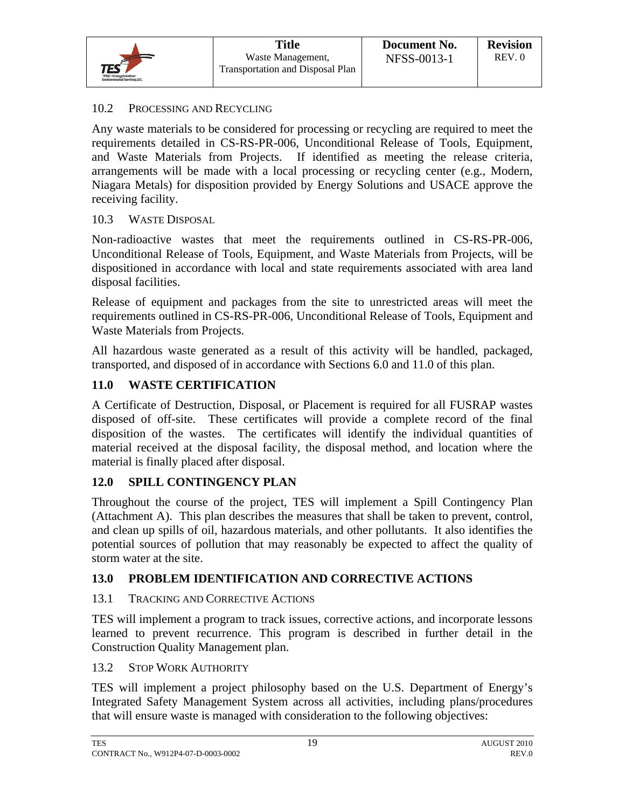#### 10.2 PROCESSING AND RECYCLING

Any waste materials to be considered for processing or recycling are required to meet the requirements detailed in CS-RS-PR-006, Unconditional Release of Tools, Equipment, and Waste Materials from Projects. If identified as meeting the release criteria, arrangements will be made with a local processing or recycling center (e.g., Modern, Niagara Metals) for disposition provided by Energy Solutions and USACE approve the receiving facility.

#### 10.3 WASTE DISPOSAL

Non-radioactive wastes that meet the requirements outlined in CS-RS-PR-006, Unconditional Release of Tools, Equipment, and Waste Materials from Projects, will be dispositioned in accordance with local and state requirements associated with area land disposal facilities.

Release of equipment and packages from the site to unrestricted areas will meet the requirements outlined in CS-RS-PR-006, Unconditional Release of Tools, Equipment and Waste Materials from Projects.

All hazardous waste generated as a result of this activity will be handled, packaged, transported, and disposed of in accordance with Sections 6.0 and 11.0 of this plan.

#### **11.0 WASTE CERTIFICATION**

A Certificate of Destruction, Disposal, or Placement is required for all FUSRAP wastes disposed of off-site. These certificates will provide a complete record of the final disposition of the wastes. The certificates will identify the individual quantities of material received at the disposal facility, the disposal method, and location where the material is finally placed after disposal.

## **12.0 SPILL CONTINGENCY PLAN**

Throughout the course of the project, TES will implement a Spill Contingency Plan (Attachment A). This plan describes the measures that shall be taken to prevent, control, and clean up spills of oil, hazardous materials, and other pollutants. It also identifies the potential sources of pollution that may reasonably be expected to affect the quality of storm water at the site.

## **13.0 PROBLEM IDENTIFICATION AND CORRECTIVE ACTIONS**

#### 13.1 TRACKING AND CORRECTIVE ACTIONS

TES will implement a program to track issues, corrective actions, and incorporate lessons learned to prevent recurrence. This program is described in further detail in the Construction Quality Management plan.

#### 13.2 STOP WORK AUTHORITY

TES will implement a project philosophy based on the U.S. Department of Energy's Integrated Safety Management System across all activities, including plans/procedures that will ensure waste is managed with consideration to the following objectives: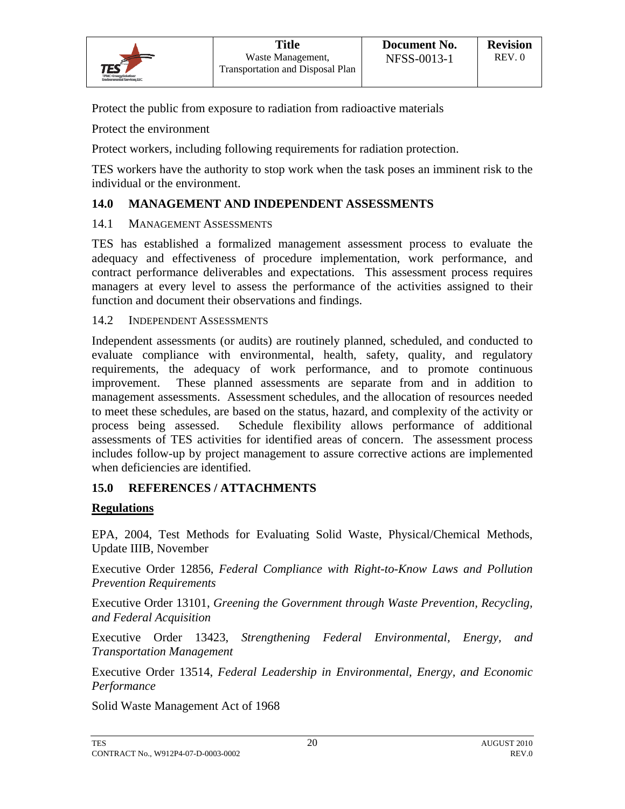Protect the public from exposure to radiation from radioactive materials

Protect the environment

Protect workers, including following requirements for radiation protection.

TES workers have the authority to stop work when the task poses an imminent risk to the individual or the environment.

## **14.0 MANAGEMENT AND INDEPENDENT ASSESSMENTS**

#### 14.1 MANAGEMENT ASSESSMENTS

TES has established a formalized management assessment process to evaluate the adequacy and effectiveness of procedure implementation, work performance, and contract performance deliverables and expectations. This assessment process requires managers at every level to assess the performance of the activities assigned to their function and document their observations and findings.

#### 14.2 INDEPENDENT ASSESSMENTS

Independent assessments (or audits) are routinely planned, scheduled, and conducted to evaluate compliance with environmental, health, safety, quality, and regulatory requirements, the adequacy of work performance, and to promote continuous improvement. These planned assessments are separate from and in addition to management assessments. Assessment schedules, and the allocation of resources needed to meet these schedules, are based on the status, hazard, and complexity of the activity or process being assessed. Schedule flexibility allows performance of additional assessments of TES activities for identified areas of concern. The assessment process includes follow-up by project management to assure corrective actions are implemented when deficiencies are identified.

## **15.0 REFERENCES / ATTACHMENTS**

## **Regulations**

EPA, 2004, Test Methods for Evaluating Solid Waste, Physical/Chemical Methods, Update IIIB, November

Executive Order 12856, *Federal Compliance with Right-to-Know Laws and Pollution Prevention Requirements* 

Executive Order 13101, *Greening the Government through Waste Prevention, Recycling, and Federal Acquisition* 

Executive Order 13423, *Strengthening Federal Environmental, Energy, and Transportation Management*

Executive Order 13514, *Federal Leadership in Environmental, Energy, and Economic Performance*

Solid Waste Management Act of 1968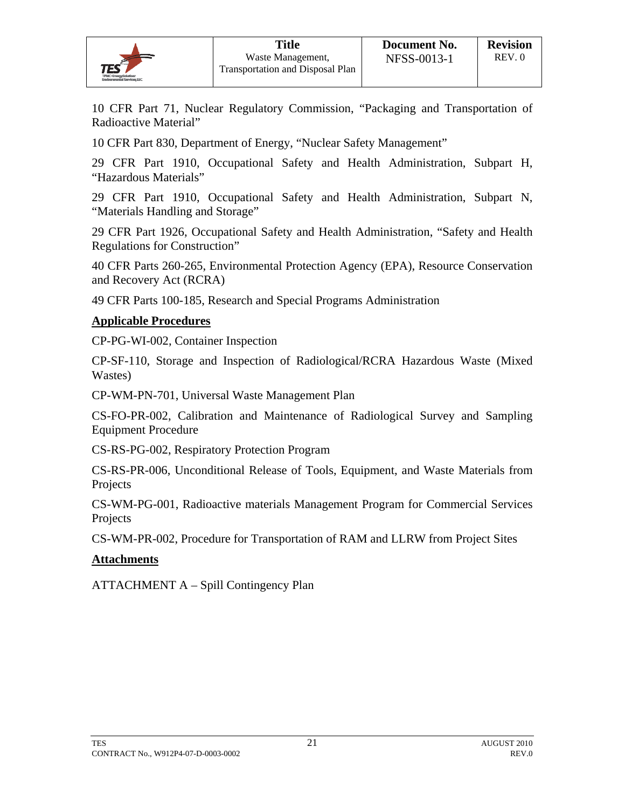10 CFR Part 71, Nuclear Regulatory Commission, "Packaging and Transportation of Radioactive Material"

10 CFR Part 830, Department of Energy, "Nuclear Safety Management"

29 CFR Part 1910, Occupational Safety and Health Administration, Subpart H, "Hazardous Materials"

29 CFR Part 1910, Occupational Safety and Health Administration, Subpart N, "Materials Handling and Storage"

29 CFR Part 1926, Occupational Safety and Health Administration, "Safety and Health Regulations for Construction"

40 CFR Parts 260-265, Environmental Protection Agency (EPA), Resource Conservation and Recovery Act (RCRA)

49 CFR Parts 100-185, Research and Special Programs Administration

#### **Applicable Procedures**

CP-PG-WI-002, Container Inspection

CP-SF-110, Storage and Inspection of Radiological/RCRA Hazardous Waste (Mixed Wastes)

CP-WM-PN-701, Universal Waste Management Plan

CS-FO-PR-002, Calibration and Maintenance of Radiological Survey and Sampling Equipment Procedure

CS-RS-PG-002, Respiratory Protection Program

CS-RS-PR-006, Unconditional Release of Tools, Equipment, and Waste Materials from Projects

CS-WM-PG-001, Radioactive materials Management Program for Commercial Services Projects

CS-WM-PR-002, Procedure for Transportation of RAM and LLRW from Project Sites

#### **Attachments**

ATTACHMENT A – Spill Contingency Plan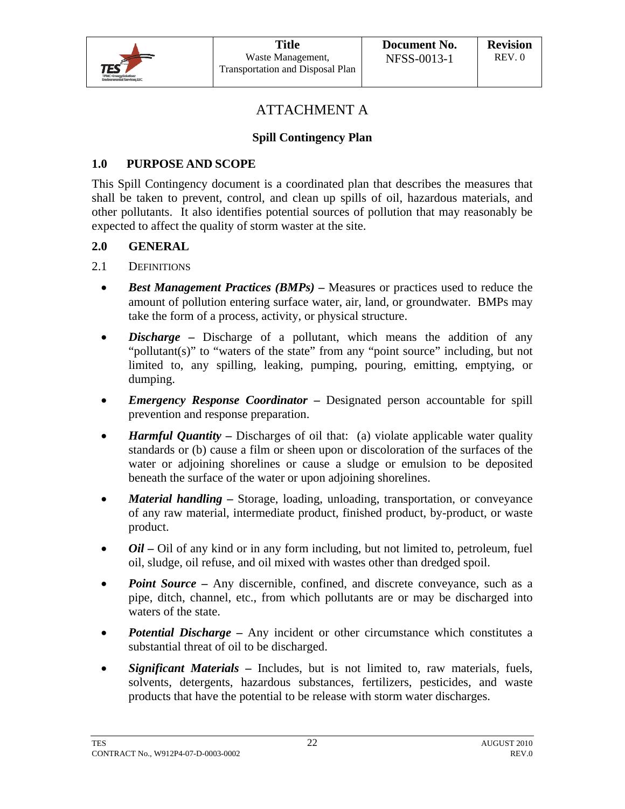

## ATTACHMENT A

## **Spill Contingency Plan**

## **1.0 PURPOSE AND SCOPE**

This Spill Contingency document is a coordinated plan that describes the measures that shall be taken to prevent, control, and clean up spills of oil, hazardous materials, and other pollutants. It also identifies potential sources of pollution that may reasonably be expected to affect the quality of storm waster at the site.

#### **2.0 GENERAL**

- 2.1 DEFINITIONS
	- *Best Management Practices (BMPs)* **–** Measures or practices used to reduce the amount of pollution entering surface water, air, land, or groundwater. BMPs may take the form of a process, activity, or physical structure.
	- *Discharge* Discharge of a pollutant, which means the addition of any "pollutant(s)" to "waters of the state" from any "point source" including, but not limited to, any spilling, leaking, pumping, pouring, emitting, emptying, or dumping.
	- *Emergency Response Coordinator* **–** Designated person accountable for spill prevention and response preparation.
	- *Harmful Quantity* Discharges of oil that: (a) violate applicable water quality standards or (b) cause a film or sheen upon or discoloration of the surfaces of the water or adjoining shorelines or cause a sludge or emulsion to be deposited beneath the surface of the water or upon adjoining shorelines.
	- *Material handling* **–** Storage, loading, unloading, transportation, or conveyance of any raw material, intermediate product, finished product, by-product, or waste product.
	- *Oil* Oil of any kind or in any form including, but not limited to, petroleum, fuel oil, sludge, oil refuse, and oil mixed with wastes other than dredged spoil.
	- *Point Source* Any discernible, confined, and discrete conveyance, such as a pipe, ditch, channel, etc., from which pollutants are or may be discharged into waters of the state.
	- **Potential Discharge –** Any incident or other circumstance which constitutes a substantial threat of oil to be discharged.
	- *Significant Materials* **–** Includes, but is not limited to, raw materials, fuels, solvents, detergents, hazardous substances, fertilizers, pesticides, and waste products that have the potential to be release with storm water discharges.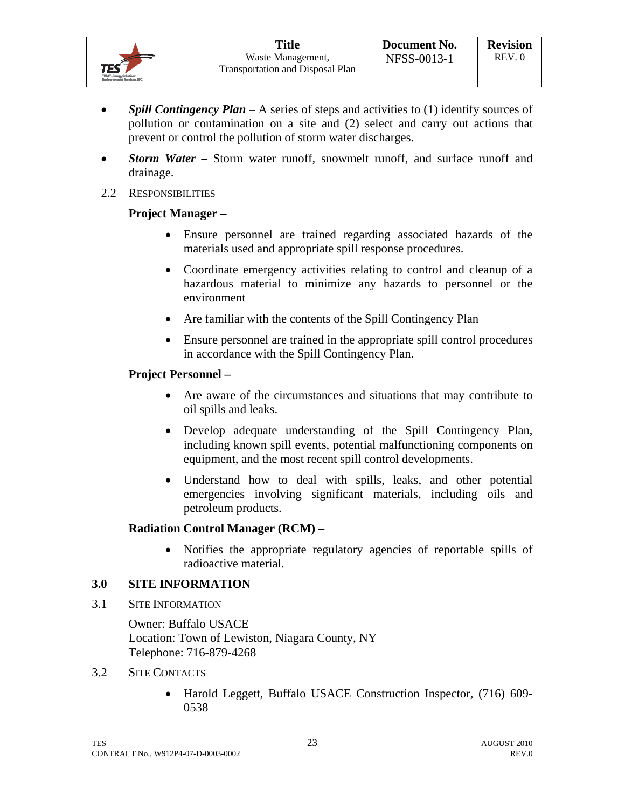- **Spill Contingency Plan** A series of steps and activities to (1) identify sources of pollution or contamination on a site and (2) select and carry out actions that prevent or control the pollution of storm water discharges.
- *Storm Water* Storm water runoff, snowmelt runoff, and surface runoff and drainage.
- 2.2 RESPONSIBILITIES

## **Project Manager –**

- Ensure personnel are trained regarding associated hazards of the materials used and appropriate spill response procedures.
- Coordinate emergency activities relating to control and cleanup of a hazardous material to minimize any hazards to personnel or the environment
- Are familiar with the contents of the Spill Contingency Plan
- Ensure personnel are trained in the appropriate spill control procedures in accordance with the Spill Contingency Plan.

## **Project Personnel –**

- Are aware of the circumstances and situations that may contribute to oil spills and leaks.
- Develop adequate understanding of the Spill Contingency Plan, including known spill events, potential malfunctioning components on equipment, and the most recent spill control developments.
- Understand how to deal with spills, leaks, and other potential emergencies involving significant materials, including oils and petroleum products.

## **Radiation Control Manager (RCM) –**

 Notifies the appropriate regulatory agencies of reportable spills of radioactive material.

## **3.0 SITE INFORMATION**

3.1 SITE INFORMATION

Owner: Buffalo USACE Location: Town of Lewiston, Niagara County, NY Telephone: 716-879-4268

- 3.2 SITE CONTACTS
	- Harold Leggett, Buffalo USACE Construction Inspector, (716) 609- 0538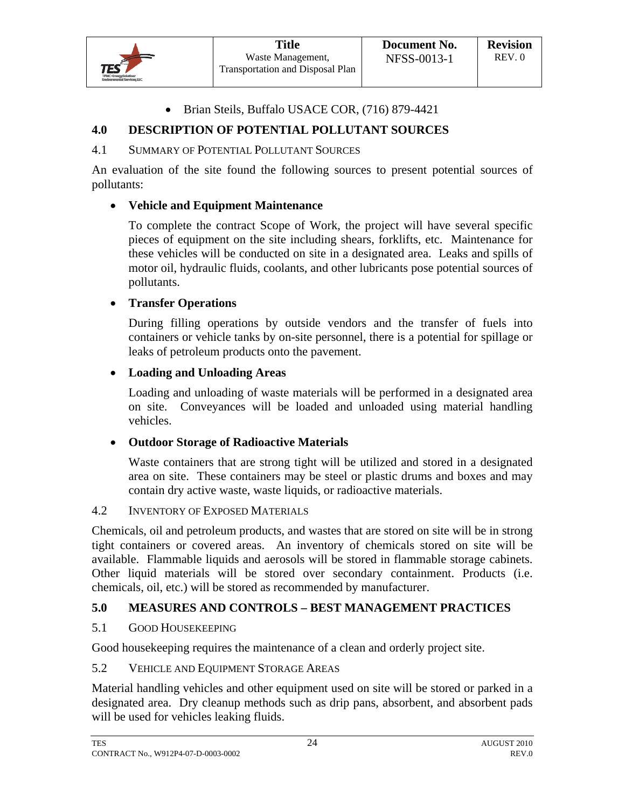#### • Brian Steils, Buffalo USACE COR, (716) 879-4421

## **4.0 DESCRIPTION OF POTENTIAL POLLUTANT SOURCES**

#### 4.1 SUMMARY OF POTENTIAL POLLUTANT SOURCES

An evaluation of the site found the following sources to present potential sources of pollutants:

#### **Vehicle and Equipment Maintenance**

To complete the contract Scope of Work, the project will have several specific pieces of equipment on the site including shears, forklifts, etc. Maintenance for these vehicles will be conducted on site in a designated area. Leaks and spills of motor oil, hydraulic fluids, coolants, and other lubricants pose potential sources of pollutants.

#### **Transfer Operations**

During filling operations by outside vendors and the transfer of fuels into containers or vehicle tanks by on-site personnel, there is a potential for spillage or leaks of petroleum products onto the pavement.

#### **Loading and Unloading Areas**

Loading and unloading of waste materials will be performed in a designated area on site. Conveyances will be loaded and unloaded using material handling vehicles.

#### **Outdoor Storage of Radioactive Materials**

Waste containers that are strong tight will be utilized and stored in a designated area on site. These containers may be steel or plastic drums and boxes and may contain dry active waste, waste liquids, or radioactive materials.

#### 4.2 INVENTORY OF EXPOSED MATERIALS

Chemicals, oil and petroleum products, and wastes that are stored on site will be in strong tight containers or covered areas. An inventory of chemicals stored on site will be available. Flammable liquids and aerosols will be stored in flammable storage cabinets. Other liquid materials will be stored over secondary containment. Products (i.e. chemicals, oil, etc.) will be stored as recommended by manufacturer.

## **5.0 MEASURES AND CONTROLS – BEST MANAGEMENT PRACTICES**

#### 5.1 GOOD HOUSEKEEPING

Good housekeeping requires the maintenance of a clean and orderly project site.

#### 5.2 VEHICLE AND EQUIPMENT STORAGE AREAS

Material handling vehicles and other equipment used on site will be stored or parked in a designated area. Dry cleanup methods such as drip pans, absorbent, and absorbent pads will be used for vehicles leaking fluids.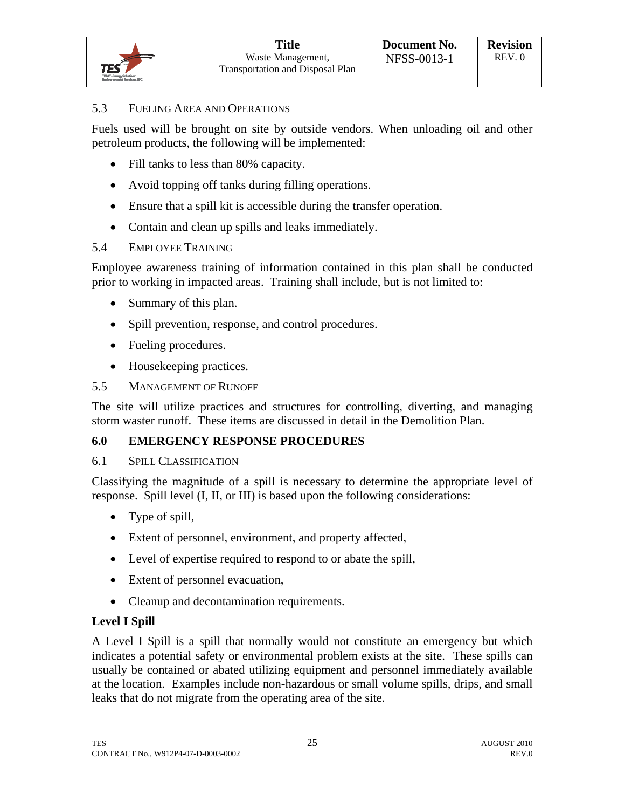#### 5.3 FUELING AREA AND OPERATIONS

Fuels used will be brought on site by outside vendors. When unloading oil and other petroleum products, the following will be implemented:

- Fill tanks to less than 80% capacity.
- Avoid topping off tanks during filling operations.
- Ensure that a spill kit is accessible during the transfer operation.
- Contain and clean up spills and leaks immediately.

## 5.4 EMPLOYEE TRAINING

Employee awareness training of information contained in this plan shall be conducted prior to working in impacted areas. Training shall include, but is not limited to:

- Summary of this plan.
- Spill prevention, response, and control procedures.
- Fueling procedures.
- Housekeeping practices.

## 5.5 MANAGEMENT OF RUNOFF

The site will utilize practices and structures for controlling, diverting, and managing storm waster runoff. These items are discussed in detail in the Demolition Plan.

## **6.0 EMERGENCY RESPONSE PROCEDURES**

## 6.1 SPILL CLASSIFICATION

Classifying the magnitude of a spill is necessary to determine the appropriate level of response. Spill level (I, II, or III) is based upon the following considerations:

- Type of spill,
- Extent of personnel, environment, and property affected,
- Level of expertise required to respond to or abate the spill,
- Extent of personnel evacuation,
- Cleanup and decontamination requirements.

## **Level I Spill**

A Level I Spill is a spill that normally would not constitute an emergency but which indicates a potential safety or environmental problem exists at the site. These spills can usually be contained or abated utilizing equipment and personnel immediately available at the location. Examples include non-hazardous or small volume spills, drips, and small leaks that do not migrate from the operating area of the site.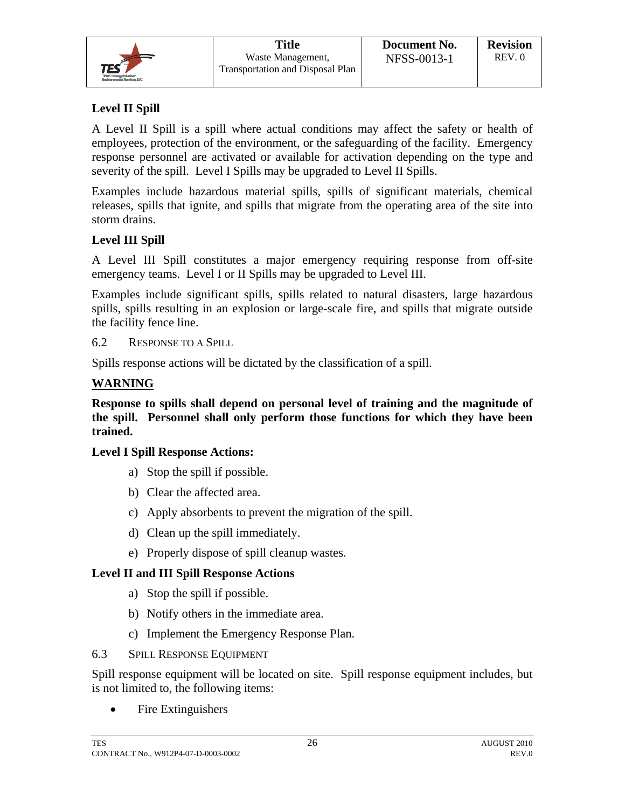| Н<br>÷        |  |
|---------------|--|
| TRIC-B<br>dC. |  |

## **Level II Spill**

A Level II Spill is a spill where actual conditions may affect the safety or health of employees, protection of the environment, or the safeguarding of the facility. Emergency response personnel are activated or available for activation depending on the type and severity of the spill. Level I Spills may be upgraded to Level II Spills.

Examples include hazardous material spills, spills of significant materials, chemical releases, spills that ignite, and spills that migrate from the operating area of the site into storm drains.

## **Level III Spill**

A Level III Spill constitutes a major emergency requiring response from off-site emergency teams. Level I or II Spills may be upgraded to Level III.

Examples include significant spills, spills related to natural disasters, large hazardous spills, spills resulting in an explosion or large-scale fire, and spills that migrate outside the facility fence line.

6.2 RESPONSE TO A SPILL

Spills response actions will be dictated by the classification of a spill.

## **WARNING**

**Response to spills shall depend on personal level of training and the magnitude of the spill. Personnel shall only perform those functions for which they have been trained.** 

## **Level I Spill Response Actions:**

- a) Stop the spill if possible.
- b) Clear the affected area.
- c) Apply absorbents to prevent the migration of the spill.
- d) Clean up the spill immediately.
- e) Properly dispose of spill cleanup wastes.

## **Level II and III Spill Response Actions**

- a) Stop the spill if possible.
- b) Notify others in the immediate area.
- c) Implement the Emergency Response Plan.
- 6.3 SPILL RESPONSE EQUIPMENT

Spill response equipment will be located on site. Spill response equipment includes, but is not limited to, the following items:

• Fire Extinguishers